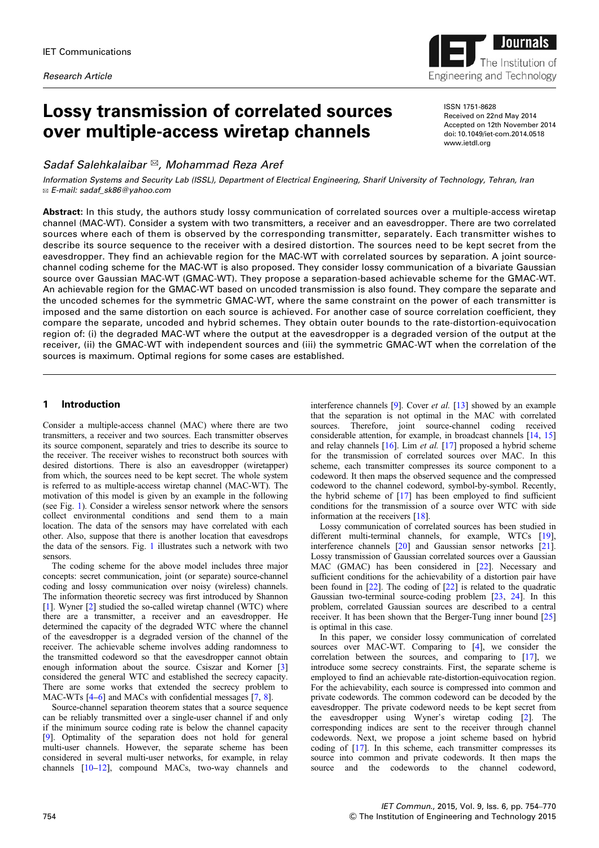# Lossy transmission of correlated sources over multiple-access wiretap channels

Sadaf Salehkalaibar <sup>⊠</sup>, Mohammad Reza Aref

Information Systems and Security Lab (ISSL), Department of Electrical Engineering, Sharif University of Technology, Tehran, Iran ✉ E-mail: sadaf\_sk86@yahoo.com

Abstract: In this study, the authors study lossy communication of correlated sources over a multiple-access wiretap channel (MAC-WT). Consider a system with two transmitters, a receiver and an eavesdropper. There are two correlated sources where each of them is observed by the corresponding transmitter, separately. Each transmitter wishes to describe its source sequence to the receiver with a desired distortion. The sources need to be kept secret from the eavesdropper. They find an achievable region for the MAC-WT with correlated sources by separation. A joint sourcechannel coding scheme for the MAC-WT is also proposed. They consider lossy communication of a bivariate Gaussian source over Gaussian MAC-WT (GMAC-WT). They propose a separation-based achievable scheme for the GMAC-WT. An achievable region for the GMAC-WT based on uncoded transmission is also found. They compare the separate and the uncoded schemes for the symmetric GMAC-WT, where the same constraint on the power of each transmitter is imposed and the same distortion on each source is achieved. For another case of source correlation coefficient, they compare the separate, uncoded and hybrid schemes. They obtain outer bounds to the rate-distortion-equivocation region of: (i) the degraded MAC-WT where the output at the eavesdropper is a degraded version of the output at the receiver, (ii) the GMAC-WT with independent sources and (iii) the symmetric GMAC-WT when the correlation of the sources is maximum. Optimal regions for some cases are established.

# 1 Introduction

Consider a multiple-access channel (MAC) where there are two transmitters, a receiver and two sources. Each transmitter observes its source component, separately and tries to describe its source to the receiver. The receiver wishes to reconstruct both sources with desired distortions. There is also an eavesdropper (wiretapper) from which, the sources need to be kept secret. The whole system is referred to as multiple-access wiretap channel (MAC-WT). The motivation of this model is given by an example in the following (see Fig. 1). Consider a wireless sensor network where the sensors collect environmental conditions and send them to a main location. The data of the sensors may have correlated with each other. Also, suppose that there is another location that eavesdrops the data of the sensors. Fig. 1 illustrates such a network with two sensors.

The coding scheme for the above model includes three major concepts: secret communication, joint (or separate) source-channel coding and lossy communication over noisy (wireless) channels. The information theoretic secrecy was first introduced by Shannon [1]. Wyner [2] studied the so-called wiretap channel (WTC) where there are a transmitter, a receiver and an eavesdropper. He determined the capacity of the degraded WTC where the channel of the eavesdropper is a degraded version of the channel of the receiver. The achievable scheme involves adding randomness to the transmitted codeword so that the eavesdropper cannot obtain enough information about the source. Csiszar and Korner [3] considered the general WTC and established the secrecy capacity. There are some works that extended the secrecy problem to MAC-WTs  $[4-6]$  and MACs with confidential messages  $[7, 8]$ .

Source-channel separation theorem states that a source sequence can be reliably transmitted over a single-user channel if and only if the minimum source coding rate is below the channel capacity [9]. Optimality of the separation does not hold for general multi-user channels. However, the separate scheme has been considered in several multi-user networks, for example, in relay channels [10–12], compound MACs, two-way channels and

interference channels [9]. Cover et al. [13] showed by an example that the separation is not optimal in the MAC with correlated sources. Therefore, joint source-channel coding received considerable attention, for example, in broadcast channels [14, 15] and relay channels [16]. Lim et al. [17] proposed a hybrid scheme for the transmission of correlated sources over MAC. In this scheme, each transmitter compresses its source component to a codeword. It then maps the observed sequence and the compressed codeword to the channel codeword, symbol-by-symbol. Recently, the hybrid scheme of [17] has been employed to find sufficient conditions for the transmission of a source over WTC with side information at the receivers [18].

Lossy communication of correlated sources has been studied in different multi-terminal channels, for example, WTCs [19], interference channels [20] and Gaussian sensor networks [21]. Lossy transmission of Gaussian correlated sources over a Gaussian MAC (GMAC) has been considered in [22]. Necessary and sufficient conditions for the achievability of a distortion pair have been found in [22]. The coding of [22] is related to the quadratic Gaussian two-terminal source-coding problem [23, 24]. In this problem, correlated Gaussian sources are described to a central receiver. It has been shown that the Berger-Tung inner bound [25] is optimal in this case.

In this paper, we consider lossy communication of correlated sources over MAC-WT. Comparing to [4], we consider the correlation between the sources, and comparing to [17], we introduce some secrecy constraints. First, the separate scheme is employed to find an achievable rate-distortion-equivocation region. For the achievability, each source is compressed into common and private codewords. The common codeword can be decoded by the eavesdropper. The private codeword needs to be kept secret from the eavesdropper using Wyner's wiretap coding [2]. The corresponding indices are sent to the receiver through channel codewords. Next, we propose a joint scheme based on hybrid coding of [17]. In this scheme, each transmitter compresses its source into common and private codewords. It then maps the source and the codewords to the channel codeword,



ISSN 1751-8628 Received on 22nd May 2014 Accepted on 12th November 2014 doi: 10.1049/iet-com.2014.0518 www.ietdl.org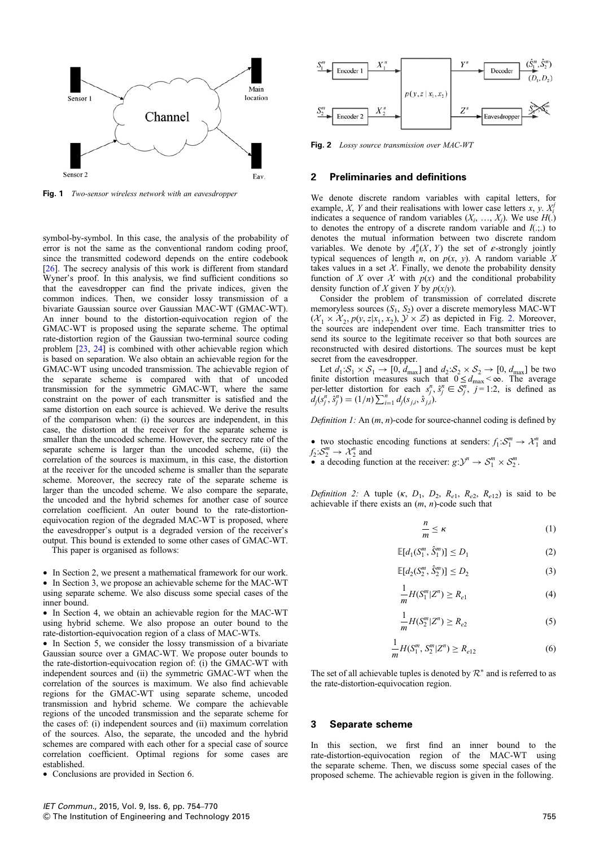

Fig. 1 Two-sensor wireless network with an eavesdropper

symbol-by-symbol. In this case, the analysis of the probability of error is not the same as the conventional random coding proof, since the transmitted codeword depends on the entire codebook [26]. The secrecy analysis of this work is different from standard Wyner's proof. In this analysis, we find sufficient conditions so that the eavesdropper can find the private indices, given the common indices. Then, we consider lossy transmission of a bivariate Gaussian source over Gaussian MAC-WT (GMAC-WT). An inner bound to the distortion-equivocation region of the GMAC-WT is proposed using the separate scheme. The optimal rate-distortion region of the Gaussian two-terminal source coding problem [23, 24] is combined with other achievable region which is based on separation. We also obtain an achievable region for the GMAC-WT using uncoded transmission. The achievable region of the separate scheme is compared with that of uncoded transmission for the symmetric GMAC-WT, where the same constraint on the power of each transmitter is satisfied and the same distortion on each source is achieved. We derive the results of the comparison when: (i) the sources are independent, in this case, the distortion at the receiver for the separate scheme is smaller than the uncoded scheme. However, the secrecy rate of the separate scheme is larger than the uncoded scheme, (ii) the correlation of the sources is maximum, in this case, the distortion at the receiver for the uncoded scheme is smaller than the separate scheme. Moreover, the secrecy rate of the separate scheme is larger than the uncoded scheme. We also compare the separate, the uncoded and the hybrid schemes for another case of source correlation coefficient. An outer bound to the rate-distortionequivocation region of the degraded MAC-WT is proposed, where the eavesdropper's output is a degraded version of the receiver's output. This bound is extended to some other cases of GMAC-WT.

This paper is organised as follows:

• In Section 2, we present a mathematical framework for our work. • In Section 3, we propose an achievable scheme for the MAC-WT using separate scheme. We also discuss some special cases of the inner bound.

• In Section 4, we obtain an achievable region for the MAC-WT using hybrid scheme. We also propose an outer bound to the rate-distortion-equivocation region of a class of MAC-WTs.

† In Section 5, we consider the lossy transmission of a bivariate Gaussian source over a GMAC-WT. We propose outer bounds to the rate-distortion-equivocation region of: (i) the GMAC-WT with independent sources and (ii) the symmetric GMAC-WT when the correlation of the sources is maximum. We also find achievable regions for the GMAC-WT using separate scheme, uncoded transmission and hybrid scheme. We compare the achievable regions of the uncoded transmission and the separate scheme for the cases of: (i) independent sources and (ii) maximum correlation of the sources. Also, the separate, the uncoded and the hybrid schemes are compared with each other for a special case of source correlation coefficient. Optimal regions for some cases are established.

† Conclusions are provided in Section 6.



Fig. 2 Lossy source transmission over MAC-WT

#### 2 Preliminaries and definitions

We denote discrete random variables with capital letters, for example, X, Y and their realisations with lower case letters x, y.  $X_i^j$ indicates a sequence of random variables  $(X_i, ..., X_j)$ . We use  $H(.)$ to denotes the entropy of a discrete random variable and  $I(.;.)$  to denotes the mutual information between two discrete random variables. We denote by  $A_{\varepsilon}^{n}(X, Y)$  the set of  $\varepsilon$ -strongly jointly typical sequences of length  $n$ , on  $p(x, y)$ . A random variable X takes values in a set  $X$ . Finally, we denote the probability density function of X over X with  $p(x)$  and the conditional probability density function of X given Y by  $p(x|y)$ .

Consider the problem of transmission of correlated discrete memoryless sources  $(S_1, S_2)$  over a discrete memoryless MAC-WT  $(\mathcal{X}_1 \times \mathcal{X}_2, p(y, z|x_1, x_2), \mathcal{Y} \times \mathcal{Z})$  as depicted in Fig. 2. Moreover, the sources are independent over time. Each transmitter tries to send its source to the legitimate receiver so that both sources are reconstructed with desired distortions. The sources must be kept secret from the eavesdropper.

Let  $d_1: S_1 \times S_1 \to [0, d_{\text{max}}]$  and  $d_2: S_2 \times S_2 \to [0, d_{\text{max}}]$  be two finite distortion measures such that  $0 \leq d_{\text{max}} < \infty$ . The average per-letter distortion for each  $s_j^n$ ,  $\hat{s}_j^n \in \overline{S_j^n}$ ,  $j = 1:2$ , is defined as  $d_j(s_j^n, \hat{s}_j^n) = (1/n) \sum_{i=1}^n d_j(s_{j,i}, \hat{s}_{j,i}).$ 

Definition 1: An  $(m, n)$ -code for source-channel coding is defined by

• two stochastic encoding functions at senders:  $f_1: \mathcal{S}_1^m \to \mathcal{X}_1^n$  and  $f_2: \mathcal{S}_2^m \to \mathcal{X}_2^n$  and

• a decoding function at the receiver:  $g: \mathcal{Y}^n \to \mathcal{S}_1^m \times \mathcal{S}_2^m$ .

Definition 2: A tuple  $(\kappa, D_1, D_2, R_{e1}, R_{e2}, R_{e12})$  is said to be achievable if there exists an  $(m, n)$ -code such that

$$
\frac{n}{m} \le \kappa \tag{1}
$$

$$
\mathbb{E}[d_1(S_1^m, \hat{S}_1^m)] \le D_1
$$
 (2)

$$
\mathbb{E}[d_2(S_2^m, \hat{S}_2^m)] \le D_2 \tag{3}
$$

$$
\frac{1}{m}H(S_1^m|Z^n) \ge R_{e1}
$$
\n(4)

$$
\frac{1}{m}H(S_2^m|Z^n) \ge R_{e2}
$$
\n(5)

$$
\frac{1}{m}H(S_1^m, S_2^m | Z^n) \ge R_{e12}
$$
\n(6)

The set of all achievable tuples is denoted by  $\mathcal{R}^*$  and is referred to as the rate-distortion-equivocation region.

#### 3 Separate scheme

this section, we first find an inner bound to the rate-distortion-equivocation region of the MAC-WT using the separate scheme. Then, we discuss some special cases of the proposed scheme. The achievable region is given in the following.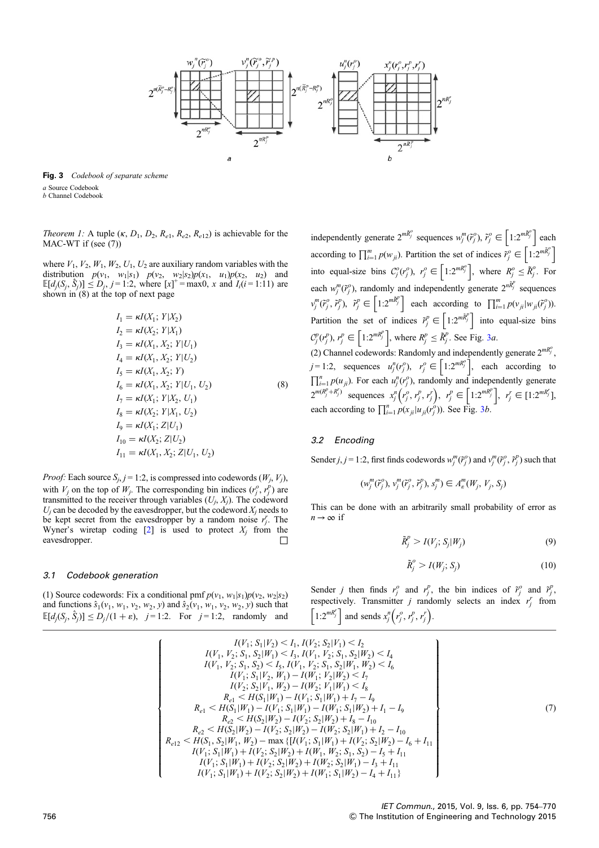

Fig. 3 Codebook of separate scheme

a Source Codebook

b Channel Codebook

*Theorem 1:* A tuple  $(\kappa, D_1, D_2, R_{e1}, R_{e2}, R_{e12})$  is achievable for the MAC-WT if (see  $(7)$ )

where  $V_1$ ,  $V_2$ ,  $W_1$ ,  $W_2$ ,  $U_1$ ,  $U_2$  are auxiliary random variables with the distribution  $p(v_1, w_1|s_1)$   $p(v_2, w_2|s_2)p(x_1, u_1)p(x_2, u_2)$  and  $\mathbb{E}[d_j(S_j, \hat{S}_j)] \leq D_j$ ,  $j = 1, 2$ , where  $[x]^{+} = \max(0, x \text{ and } I_i (i = 1, 11) \text{ are})$ shown in  $(8)$  at the top of next page

$$
I_1 = \kappa I(X_1; Y | X_2)
$$
  
\n
$$
I_2 = \kappa I(X_2; Y | X_1)
$$
  
\n
$$
I_3 = \kappa I(X_1, X_2; Y | U_1)
$$
  
\n
$$
I_4 = \kappa I(X_1, X_2; Y | U_2)
$$
  
\n
$$
I_5 = \kappa I(X_1, X_2; Y)
$$
  
\n
$$
I_6 = \kappa I(X_1, X_2; Y | U_1, U_2)
$$
  
\n
$$
I_7 = \kappa I(X_1; Y | X_2, U_1)
$$
  
\n
$$
I_8 = \kappa I(X_2; Y | X_1, U_2)
$$
  
\n
$$
I_9 = \kappa I(X_1; Z | U_1)
$$
  
\n
$$
I_{10} = \kappa I(X_2; Z | U_2)
$$
  
\n
$$
I_{11} = \kappa I(X_1, X_2; Z | U_1, U_2)
$$

*Proof:* Each source  $S_i$ ,  $j = 1:2$ , is compressed into codewords  $(W_i, V_i)$ , with  $V_j$  on the top of  $W_j$ . The corresponding bin indices  $(r_j^o, r_j^p)$  are transmitted to the receiver through variables  $(U_j, X_j)$ . The codeword  $U_i$  can be decoded by the eavesdropper, but the codeword  $X_i$  needs to be kept secret from the eavesdropper by a random noise  $r_j^r$ . The Wyner's wiretap coding [2] is used to protect  $X_i$  from the eavesdropper.  $\Box$ 

#### 3.1 Codebook generation

(1) Source codewords: Fix a conditional pmf  $p(v_1, w_1|s_1)p(v_2, w_2|s_2)$ and functions  $\hat{s}_1(v_1, w_1, v_2, w_2, y)$  and  $\hat{s}_2(v_1, w_1, v_2, w_2, y)$  such that  $\mathbb{E}[d_j(S_j, \hat{S}_j)] \le D_j/(1 + \varepsilon), \quad j = 1:2.$  For  $j = 1:2$ , randomly and

independently generate  $2^{m\tilde{R}^{\circ}_j}$  sequences  $w^m_j(\tilde{r}^{\circ}_j)$ ,  $\tilde{r}^{\circ}_j \in [1:2^{m\tilde{R}^{\circ}_j}]$  each according to  $\prod_{i=1}^m p(w_{ji})$ . Partition the set of indices  $\tilde{r}^o_j \in \left[1; 2^{m\tilde{R}^o_j}\right]$ into equal-size bins  $C_j^o(r_j^o)$ ,  $r_j^o \in \left[1:2^{mR_j^o}\right]$ , where  $R_j^o \leq \tilde{R}_j^o$ . For each  $w_j^m(\tilde{r}_j^o)$ , randomly and independently generate  $2^{n\tilde{R}_j^o}$  sequences  $v_j^m(\tilde{r}_j^o, \tilde{r}_j^p), \ \tilde{r}_j^p \in \left[1:2^{m\tilde{R}_j^p}\right]$  each according to  $\prod_{i=1}^m p(v_{ji}|w_{ji}(\tilde{r}_j^o)).$ Partition the set of indices  $\tilde{r}^p_j \in \left[1:2^{m\tilde{R}^p_j}\right]$  into equal-size bins  $\mathcal{C}_j^p(r_j^p), r_j^p \in \left[1:2^{mR_j^p}\right],$  where  $R_j^p \leq \tilde{R}_j^p$ . See Fig. 3a.

(2) Channel codewords: Randomly and independently generate  $2^{mR_j^o}$ ,  $j=1:2$ , sequences  $u_j^n(r_j^o)$ ,  $r_j^o \in \left[1:2^{mR_j^o}\right]$ , each according to  $\prod_{i=1}^{n} p(u_{ji})$ . For each  $u_j^n(r_j^o)$ , randomly and independently generate  $2^{m(R_j^p + R_j^r)}$  sequences  $x_j^n(r_j^p, r_j^p, r_j^r)$ ,  $r_j^p \in [1:2^{mR_j^p}]$ ,  $r_j^r \in [1:2^{mR_j^r}]$ . each according to  $\prod_{i=1}^{n} p(x_{ji}|u_{ji}(r_j^{\hat{o}}))$ . See Fig. 3*b*.

#### 3.2 Encoding

Sender  $j, j = 1:2$ , first finds codewords  $w_j^m(\tilde{r}_j^o)$  and  $v_j^m(\tilde{r}_j^o, \tilde{r}_j^p)$  such that

$$
(w_j^m(\tilde{r}_j^o), v_j^m(\tilde{r}_j^o, \tilde{r}_j^p), s_j^m) \in A_{\varepsilon}^m(W_j, V_j, S_j)
$$

This can be done with an arbitrarily small probability of error as  $n \to \infty$  if

$$
\tilde{R}_j^p > I(V_j; S_j | W_j)
$$
\n(9)

$$
\tilde{R}_j^o > I(W_j; S_j)
$$
\n(10)

Sender *j* then finds  $r_j^o$  and  $r_j^p$ , the bin indices of  $\tilde{r}_j^o$  and  $\tilde{r}_j^p$ , respectively. Transmitter *j* randomly selects an index  $r_j^r$  from  $\left[1:2^{mR_j^r}\right]$  and sends  $x_j^n\left(r_j^o, r_j^p, r_j^r\right)$ .

$$
I(V_1; S_1|V_2) < I_1, I(V_2; S_2|V_1) < I_2
$$
\n
$$
I(V_1, V_2; S_1, S_2|W_1) < I_3, I(V_1, V_2; S_1, S_2|W_2) < I_4
$$
\n
$$
I(V_1, V_2; S_1, S_2) < I_5, I(V_1, V_2; S_1, S_2|W_1, W_2) < I_6
$$
\n
$$
I(V_1; S_1|V_2, W_1) - I(W_1; V_2|W_2) < I_7
$$
\n
$$
I(V_2; S_2|V_1, W_2) - I(W_2; V_1|W_1) < I_8
$$
\n
$$
R_{e1} < H(S_1|W_1) - I(V_1; S_1|W_1) + I_7 - I_9
$$
\n
$$
R_{e2} < H(S_2|W_2) - I(V_2; S_2|W_2) + I_8 - I_{10}
$$
\n
$$
R_{e2} < H(S_2|W_2) - I(V_2; S_2|W_2) + I_8 - I_{10}
$$
\n
$$
R_{e1} < H(S_1, S_2|W_1, W_2) - \max\{[I(V_1; S_1|W_1) + I(V_2; S_2|W_2) - I_6 + I_{11}\}
$$
\n
$$
I(V_1; S_1|W_1) + I(V_2; S_2|W_2) + I(W_1, W_2; S_1, S_2) - I_5 + I_{11}
$$
\n
$$
I(V_1; S_1|W_1) + I(V_2; S_2|W_2) + I(W_1; W_2; S_1, S_2) - I_5 + I_{11}
$$
\n
$$
I(V_1; S_1|W_1) + I(V_2; S_2|W_2) + I(W_1; S_1|W_2) - I_4 + I_{11}
$$
\n
$$
I(V_1; S_1|W_1) + I(V_2; S_2|W_2) + I(W_1; S_1|W_2) - I_4 + I_{11}
$$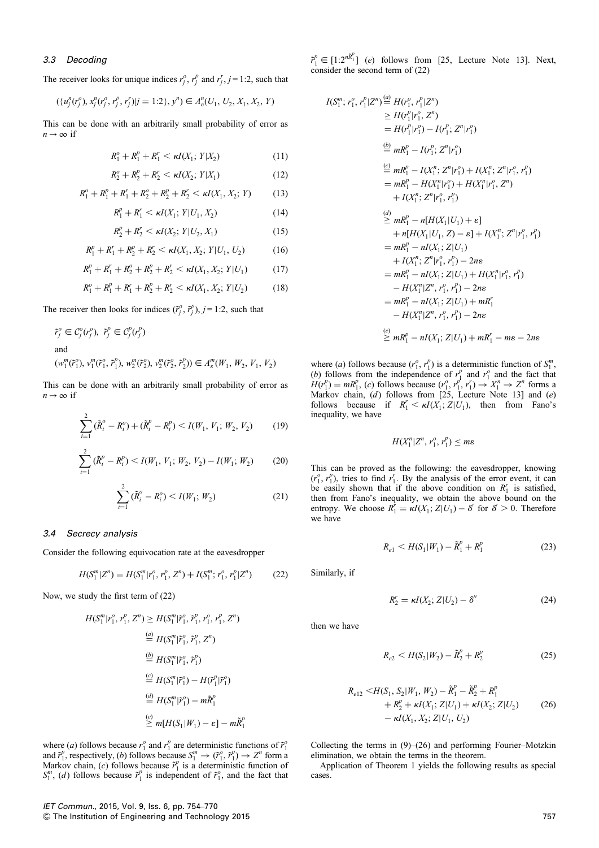### 3.3 Decoding

 $\overline{u}$ 

The receiver looks for unique indices  $r_j^o$ ,  $r_j^p$  and  $r_j^r$ ,  $j = 1:2$ , such that

$$
\{u_j^n(r_j^o), x_j^n(r_j^o, r_j^p, r_j^r)\vert j=1:2\}, y^n) \in A_e^n(U_1, U_2, X_1, X_2, Y)
$$

This can be done with an arbitrarily small probability of error as  $n \to \infty$  if

$$
R_1^o + R_1^p + R_1^r < \kappa I(X_1; Y | X_2) \tag{11}
$$

$$
R_2^o + R_2^p + R_2^r < \kappa I(X_2; Y | X_1) \tag{12}
$$

$$
R_1^o + R_1^p + R_1^r + R_2^o + R_2^p + R_2^r < \kappa I(X_1, X_2; Y) \tag{13}
$$

$$
R_1^p + R_1^r < \kappa I(X_1; Y | U_1, X_2) \tag{14}
$$

$$
R_2^p + R_2^r < \kappa I(X_2; Y | U_2, X_1) \tag{15}
$$

$$
R_1^p + R_1^r + R_2^p + R_2^r < \kappa I(X_1, X_2; Y | U_1, U_2) \tag{16}
$$

$$
R_1^p + R_1^r + R_2^o + R_2^p + R_2^r < \kappa I(X_1, X_2; Y | U_1) \tag{17}
$$

$$
R_1^o + R_1^p + R_1^r + R_2^p + R_2^r < \kappa I(X_1, X_2; Y | U_2) \tag{18}
$$

The receiver then looks for indices  $(\tilde{r}_j^o, \tilde{r}_j^p)$ , j = 1:2, such that

$$
\tilde{r}_j^o \in C_j^o(r_j^o), \ \tilde{r}_j^p \in C_j^p(r_j^p)
$$
  
and  

$$
(w_1^m(\tilde{r}_1^o), v_1^m(\tilde{r}_1^o, \tilde{r}_1^p), w_2^m(\tilde{r}_2^o), v_2^m(\tilde{r}_2^o, \tilde{r}_2^p)) \in A_{\epsilon}^m(W_1, W_2, V_1, V_2)
$$

This can be done with an arbitrarily small probability of error as  $n \to \infty$  if

$$
\sum_{i=1}^{2} (\tilde{R}_{i}^{o} - R_{i}^{o}) + (\tilde{R}_{i}^{p} - R_{i}^{p}) < I(W_{1}, V_{1}; W_{2}, V_{2}) \tag{19}
$$

$$
\sum_{i=1}^{2} (\tilde{R}_{i}^{p} - R_{i}^{p}) < I(W_{1}, V_{1}; W_{2}, V_{2}) - I(W_{1}; W_{2}) \tag{20}
$$

$$
\sum_{i=1}^{2} (\tilde{R}_{i}^{o} - R_{i}^{o}) < I(W_{1}; W_{2}) \tag{21}
$$

#### 3.4 Secrecy analysis

Consider the following equivocation rate at the eavesdropper

$$
H(S_1^m | Z^n) = H(S_1^m | r_1^o, r_1^p, Z^n) + I(S_1^m; r_1^o, r_1^p | Z^n)
$$
 (22)

Now, we study the first term of (22)

$$
H(S_1^m | r_1^o, r_1^p, Z^n) \ge H(S_1^m | \tilde{r}_1^o, \tilde{r}_1^p, r_1^o, r_1^p, r_1^p, Z^n)
$$
  
\n
$$
\stackrel{(a)}{=} H(S_1^m | \tilde{r}_1^o, \tilde{r}_1^p, Z^n)
$$
  
\n
$$
\stackrel{(b)}{=} H(S_1^m | \tilde{r}_1^o, \tilde{r}_1^p)
$$
  
\n
$$
\stackrel{(c)}{=} H(S_1^m | \tilde{r}_1^o) - H(\tilde{r}_1^p | \tilde{r}_1^o)
$$
  
\n
$$
\stackrel{(d)}{=} H(S_1^m | \tilde{r}_1^o) - m\tilde{R}_1^p
$$
  
\n
$$
\stackrel{(e)}{\ge H(H(S_1 | W_1) - \varepsilon) - m\tilde{R}_1^p}
$$

where (*a*) follows because  $r_1^o$  and  $r_1^p$  are deterministic functions of  $\tilde{r}_1^o$ and  $\tilde{r}_1^p$ , respectively, (b) follows because  $S_1^m \to (\tilde{r}_1^o, \tilde{r}_1^p) \to Z^n$  form a Markov chain, (c) follows because  $\tilde{r}_1^p$  is a deterministic function of  $S_1^m$ , (d) follows because  $\tilde{r}_1^p$  is independent of  $\tilde{r}_1^o$ , and the fact that

 $\tilde{r}_1^p \in [1:2^{n\tilde{R}_1^p}]$  (e) follows from [25, Lecture Note 13]. Next, consider the second term of (22)

$$
I(S_1^m; r_1^o, r_1^p | Z^n) \stackrel{(a)}{=} H(r_1^o, r_1^p | Z^n)
$$
  
\n
$$
\geq H(r_1^p | r_1^o, Z^n)
$$
  
\n
$$
= H(r_1^p | r_1^o) - I(r_1^p; Z^n | r_1^o)
$$
  
\n
$$
\stackrel{(b)}{=} mR_1^p - I(r_1^p; Z^n | r_1^o)
$$
  
\n
$$
\stackrel{(c)}{=} mR_1^p - I(X_1^n; Z^n | r_1^o) + I(X_1^n; Z^n | r_1^o, r_1^p)
$$
  
\n
$$
= mR_1^p - H(X_1^n | r_1^o) + H(X_1^n | r_1^o, Z^n)
$$
  
\n
$$
+ I(X_1^n; Z^n | r_1^o, r_1^p)
$$
  
\n
$$
\stackrel{(d)}{\geq} mR_1^p - n[H(X_1 | U_1) + \varepsilon]
$$
  
\n
$$
+ n[H(X_1 | U_1, Z) - \varepsilon] + I(X_1^n; Z^n | r_1^o, r_1^p)
$$
  
\n
$$
= mR_1^p - nI(X_1; Z | U_1)
$$
  
\n
$$
+ I(X_1^n; Z^n | r_1^o, r_1^p) - 2n\varepsilon
$$
  
\n
$$
= mR_1^p - nI(X_1; Z | U_1) + H(X_1^n | r_1^o, r_1^p)
$$
  
\n
$$
- H(X_1^n | Z^n, r_1^o, r_1^p) - 2n\varepsilon
$$
  
\n
$$
= mR_1^p - nI(X_1; Z | U_1) + mR_1^r
$$
  
\n
$$
- H(X_1^n | Z^n, r_1^o, r_1^p) - 2n\varepsilon
$$
  
\n
$$
\geq mR_1^p - nI(X_1; Z | U_1) + mR_1^r - m\varepsilon - 2n\varepsilon
$$

where (a) follows because  $(r_1^o, r_1^p)$  is a deterministic function of  $S_1^m$ , (b) follows from the independence of  $r_1^p$  and  $r_1^o$  and the fact that  $H(r_1^p) = mR_1^p$ , (c) follows because  $(r_1^o, r_1^p, r_1^r) \rightarrow X_1^n \rightarrow Z^n$  forms a Markov chain,  $(d)$  follows from [25, Lecture Note 13] and  $(e)$ follows because if  $R_1^r < \kappa I(X_1; Z|U_1)$ , then from Fano's inequality, we have

$$
H(X_1^n|Z^n, r_1^o, r_1^p) \leq m\varepsilon
$$

This can be proved as the following: the eavesdropper, knowing  $(r_1^o, r_1^p)$ , tries to find  $r_1^r$ . By the analysis of the error event, it can be easily shown that if the above condition on  $R'_1$  is satisfied, then from Fano's inequality, we obtain the above bound on the entropy. We choose  $R_1^r = \kappa I(X_1; Z|U_1) - \delta'$  for  $\delta' > 0$ . Therefore we have

$$
R_{e1} < H(S_1|W_1) - \tilde{R}_1^p + R_1^p \tag{23}
$$

Similarly, if

$$
R_2^r = \kappa I(X_2; Z|U_2) - \delta^{\prime\prime}
$$
 (24)

then we have

$$
R_{e2} < H(S_2|W_2) - \tilde{R}_2^p + R_2^p \tag{25}
$$

$$
R_{e12} < H(S_1, S_2 | W_1, W_2) - \tilde{R}_1^p - \tilde{R}_2^p + R_1^p
$$
  
+  $R_2^p$  +  $\kappa I(X_1; Z | U_1)$  +  $\kappa I(X_2; Z | U_2)$  (26)  
-  $\kappa I(X_1, X_2; Z | U_1, U_2)$ 

Collecting the terms in (9)–(26) and performing Fourier–Motzkin elimination, we obtain the terms in the theorem.

Application of Theorem 1 yields the following results as special cases.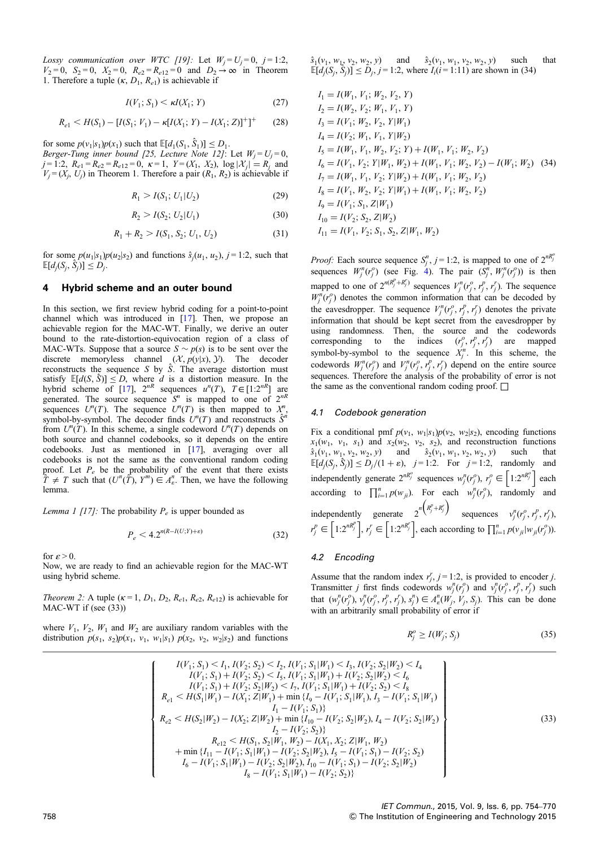Lossy communication over WTC [19]: Let  $W_j = U_j = 0$ , j = 1:2,  $V_2 = 0$ ,  $S_2 = 0$ ,  $X_2 = 0$ ,  $R_{e2} = R_{e12} = 0$  and  $D_2 \rightarrow \infty$  in Theorem 1. Therefore a tuple  $(\kappa, D_1, R_{e1})$  is achievable if

$$
I(V_1; S_1) < \kappa I(X_1; Y) \tag{27}
$$

$$
R_{e1} < H(S_1) - [I(S_1; V_1) - \kappa [I(X_1; Y) - I(X_1; Z)]^+]^+ \tag{28}
$$

for some  $p(v_1|s_1)p(x_1)$  such that  $\mathbb{E}[d_1(S_1, \hat{S}_1)] \le D_1$ .

Berger-Tung inner bound [25, Lecture Note 12]: Let  $W_j = U_j = 0$ ,  $j=1:2$ ,  $R_{e1} = R_{e2} = R_{e12} = 0$ ,  $\kappa = 1$ ,  $Y = (X_1, X_2)$ ,  $\log |\mathcal{X}_i| = R_i$  and  $V_i = (X_i, U_i)$  in Theorem 1. Therefore a pair  $(R_1, R_2)$  is achievable if

$$
R_1 > I(S_1; U_1 | U_2)
$$
 (29)

$$
R_2 > I(S_2; U_2 | U_1)
$$
 (30)

$$
R_1 + R_2 > I(S_1, S_2; U_1, U_2)
$$
\n(31)

for some  $p(u_1|s_1)p(u_2|s_2)$  and functions  $\hat{s}_i(u_1, u_2)$ ,  $j = 1:2$ , such that  $\mathbb{E}[d_j(S_j, \hat{S}_j)] \leq D_j$ .

#### 4 Hybrid scheme and an outer bound

In this section, we first review hybrid coding for a point-to-point channel which was introduced in [17]. Then, we propose an achievable region for the MAC-WT. Finally, we derive an outer bound to the rate-distortion-equivocation region of a class of MAC-WTs. Suppose that a source  $S \sim p(s)$  is to be sent over the discrete memoryless channel  $(\mathcal{X}, p(y|x), \mathcal{Y})$ . The decoder reconstructs the sequence  $S$  by  $\hat{S}$ . The average distortion must satisfy  $\mathbb{E}[d(S, \hat{S})] \leq D$ , where *d* is a distortion measure. In the hybrid scheme of [17],  $2^{nR}$  sequences  $u^n(T)$ ,  $T \in [1:2^{nR}]$  are generated. The source sequence  $S<sup>n</sup>$  is mapped to one of  $2<sup>nR</sup>$ sequences  $U^n(T)$ . The sequence  $U^n(T)$  is then mapped to  $X^n$ , symbol-by-symbol. The decoder finds  $U^n(T)$  and reconstructs  $\hat{S}^n$ from  $U^n(T)$ . In this scheme, a single codeword  $U^n(T)$  depends on both source and channel codebooks, so it depends on the entire codebooks. Just as mentioned in [17], averaging over all codebooks is not the same as the conventional random coding proof. Let  $P_e$  be the probability of the event that there exists  $\hat{T} \neq T$  such that  $(U^n(\hat{T}), Y^m) \in A_{\varepsilon}^n$ . Then, we have the following lemma.

Lemma 1 [17]: The probability  $P_e$  is upper bounded as

$$
P_e < 4.2^{n(R - I(U;Y) + \varepsilon)}\tag{32}
$$

for  $\varepsilon > 0$ .

Now, we are ready to find an achievable region for the MAC-WT using hybrid scheme.

*Theorem 2:* A tuple  $(\kappa = 1, D_1, D_2, R_{e1}, R_{e2}, R_{e12})$  is achievable for MAC-WT if (see (33))

where  $V_1$ ,  $V_2$ ,  $W_1$  and  $W_2$  are auxiliary random variables with the distribution  $p(s_1, s_2)p(x_1, v_1, w_1|s_1) p(x_2, v_2, w_2|s_2)$  and functions

 $\sqrt{ }$ 

 $\sqrt{2}$ 

 $\blacksquare$ 

 $\hat{s}_1(v_1, w_1, v_2, w_2, y)$  and  $\hat{s}_2(v_1, w_1, v_2, w_2, y)$  such that  $\mathbb{E}[d_j(S_j, \hat{S}_j)] \leq D_j, j = 1:2$ , where  $I_i(i = 1:11)$  are shown in (34)

$$
I_1 = I(W_1, V_1; W_2, V_2, Y)
$$
  
\n
$$
I_2 = I(W_2, V_2; W_1, V_1, Y)
$$
  
\n
$$
I_3 = I(V_1; W_2, V_2, Y|W_1)
$$
  
\n
$$
I_4 = I(V_2; W_1, V_1, Y|W_2)
$$
  
\n
$$
I_5 = I(W_1, V_1, W_2, V_2; Y) + I(W_1, V_1; W_2, V_2)
$$
  
\n
$$
I_6 = I(V_1, V_2; Y|W_1, W_2) + I(W_1, V_1; W_2, V_2) - I(W_1; W_2)
$$
  
\n
$$
I_7 = I(W_1, V_1, V_2; Y|W_2) + I(W_1, V_1; W_2, V_2)
$$
  
\n
$$
I_8 = I(V_1, W_2, V_2; Y|W_1) + I(W_1, V_1; W_2, V_2)
$$
  
\n
$$
I_9 = I(V_1; S_1, Z|W_1)
$$
  
\n
$$
I_{10} = I(V_2; S_2, Z|W_2)
$$
  
\n
$$
I_{11} = I(V_1, V_2; S_1, S_2, Z|W_1, W_2)
$$

*Proof:* Each source sequence  $S_j^n$ ,  $j = 1:2$ , is mapped to one of  $2^{nR_j^n}$ sequences  $W_j^n(r_j^o)$  (see Fig. 4). The pair  $(S_j^n, W_j^n(r_j^o))$  is then mapped to one of  $2^{n(R_j^p + R_j^r)}$  sequences  $V_j^n(r_j^p, r_j^p, r_j^r)$ . The sequence  $W_j^n(r_j^o)$  denotes the common information that can be decoded by the eavesdropper. The sequence  $V_j^n(r_j^o, r_j^p, r_j^r)$  denotes the private information that should be kept secret from the eavesdropper by using randomness. Then, the source and the codewords corresponding to the indices  $(r_j^o, r_j^p, r_j^r)$  are mapped symbol-by-symbol to the sequence  $\overrightarrow{X}_j^n$ . In this scheme, the codewords  $W_j^n(r_j^o)$  and  $V_j^n(r_j^o, r_j^p, r_j^r)$  depend on the entire source sequences. Therefore the analysis of the probability of error is not the same as the conventional random coding proof.  $\square$ 

#### 4.1 Codebook generation

Fix a conditional pmf  $p(v_1, w_1|s_1)p(v_2, w_2|s_2)$ , encoding functions  $x_1(w_1, v_1, s_1)$  and  $x_2(w_2, v_2, s_2)$ , and reconstruction functions  $\hat{s}_1(v_1, w_1, v_2, w_2, v)$  and  $\hat{s}_2(v_1, w_1, v_2, w_2, v)$  such that  $\hat{s}_1(v_1, w_1, v_2, w_2, y)$  and  $\hat{s}_2(v_1, w_1, v_2, w_2, y)$  such  $\mathbb{E}[d_j(S_j, \hat{S}_j)] \le D_j/(1 + \varepsilon), \quad j = 1:2.$  For  $j = 1:2,$  randomly and independently generate  $2^{nR_j^o}$  sequences  $w_j^n(r_j^o)$ ,  $r_j^o \in \left[1:2^{nR_j^o}\right]$  each according to  $\prod_{i=1}^{n} p(w_{ji})$ . For each  $w_j^n(r_j^o)$ , randomly and independently generate  $2^{n \left(R_j^p + R_j^r\right)}$ sequences  $v_j^n(r_j^o, r_j^p, r_j^r)$ ,  $r_j^p \in \left[1:2^{nR_j^p}\right], r_j^r \in \left[1:2^{nR_j^r}\right],$  each according to  $\prod_{i=1}^n p(v_{ji}|w_{ji}(r_j^o)).$ 

#### 4.2 Encoding

Assume that the random index  $r_j$ ,  $j = 1:2$ , is provided to encoder j. Transmitter *j* first finds codewords  $w_j^n(r_j^o)$  and  $v_j^n(r_j^o, r_j^p, r_j^r)$  such that  $(w_j^n(r_j^o), v_j^n(r_j^o, r_j^p, r_j^r), s_j^n) \in A_{\varepsilon}^n(W_j, V_j, S_j)$ . This can be done with an arbitrarily small probability of error if

$$
R_j^o \ge I(W_j; S_j) \tag{35}
$$

$$
I(V_1; S_1) < I_1, I(V_2; S_2) < I_2, I(V_1; S_1 | W_1) < I_3, I(V_2; S_2 | W_2) < I_4
$$
\n
$$
I(V_1; S_1) + I(V_2; S_2) < I_5, I(V_1; S_1 | W_1) + I(V_2; S_2 | W_2) < I_6
$$
\n
$$
I(V_1; S_1) + I(V_2; S_2 | W_2) < I_7, I(V_1; S_1 | W_1) + I(V_2; S_2) < I_8
$$
\n
$$
R_{e1} < H(S_1 | W_1) - I(X_1; Z | W_1) + \min\{I_9 - I(V_1; S_1 | W_1), I_3 - I(V_1; S_1 | W_1)\}
$$
\n
$$
I_1 - I(V_1; S_1)
$$
\n
$$
R_{e2} < H(S_2 | W_2) - I(X_2; Z | W_2) + \min\{I_{10} - I(V_2; S_2 | W_2), I_4 - I(V_2; S_2 | W_2)\}
$$
\n
$$
I_2 - I(V_2; S_2)
$$
\n
$$
R_{e12} < H(S_1, S_2 | W_1, W_2) - I(X_1, X_2; Z | W_1, W_2)
$$
\n
$$
+ \min\{I_{11} - I(V_1; S_1 | W_1) - I(V_2; S_2 | W_2), I_5 - I(V_1; S_1) - I(V_2; S_2) \}
$$
\n
$$
I_6 - I(V_1; S_1 | W_1) - I(V_2; S_2 | W_2), I_{10} - I(V_1; S_1) - I(V_2; S_2 | W_2)
$$
\n
$$
I_8 - I(V_1; S_1 | W_1) - I(V_2; S_2) \}
$$
\n
$$
I_9 - I(V_1; S_1 | W_1) - I(V_2; S_2) \}
$$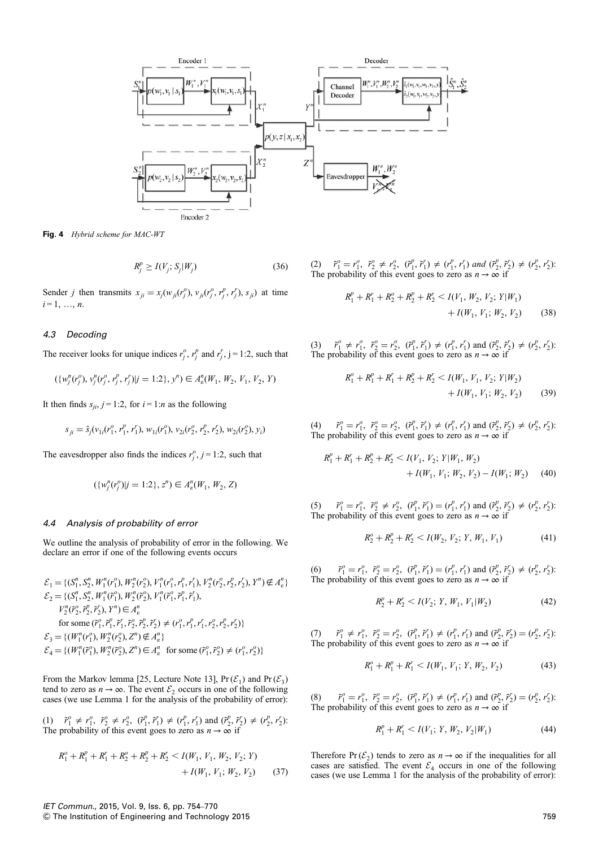

Fig. 4 Hybrid scheme for MAC-WT

$$
R_j^p \ge I(V_j; S_j | W_j) \tag{36}
$$

Sender *j* then transmits  $x_{ji} = x_j(w_{ji}(r_j^o), v_{ji}(r_j^o, r_j^p, r_j^r), s_{ji})$  at time  $i = 1, \ldots, n$ .

# 4.3 Decoding

The receiver looks for unique indices  $r_j^o$ ,  $r_j^p$  and  $r_j^r$ , j = 1:2, such that

$$
(\{w_j^n(r_j^o), v_j^n(r_j^o, r_j^p, r_j^r)\vert j=1:2\}, y^n) \in A_{\varepsilon}^n(W_1, W_2, V_1, V_2, Y)
$$

It then finds  $s_{ii}$ ,  $j = 1:2$ , for  $i = 1:n$  as the following

$$
s_{ji} = \hat{s}_j(v_{1i}(r^o_1, r^p_1, r^r_1), w_{1i}(r^o_1), v_{2i}(r^o_2, r^p_2, r^r_2), w_{2i}(r^o_2), y_i)
$$

The eavesdropper also finds the indices  $r_j^o$ ,  $j = 1:2$ , such that

$$
(\{w_j^n(r_j^o)|j=1:2\}, z^n) \in A_{\varepsilon}^n(W_1, W_2, Z)
$$

#### 4.4 Analysis of probability of error

We outline the analysis of probability of error in the following. We declare an error if one of the following events occurs

$$
\mathcal{E}_1 = \{ (S_1^n, S_2^n, W_1^n(r_1^o), W_2^n(r_2^o), V_1^n(r_1^o, r_1^p, r_1^r), V_2^n(r_2^o, r_2^p, r_2^r), Y^n) \notin A_{\epsilon}^n \}
$$
  
\n
$$
\mathcal{E}_2 = \{ (S_1^n, S_2^n, W_1^n(\tilde{r}_1^o), W_2^n(\tilde{r}_2^o), V_1^n(\tilde{r}_1^o, \tilde{r}_1^p, \tilde{r}_1^r),
$$
  
\n
$$
V_2^n(\tilde{r}_2^o, \tilde{r}_2^p, \tilde{r}_2^r), Y^n) \in A_{\epsilon}^n
$$
  
\nfor some  $(\tilde{r}_1^o, \tilde{r}_1^p, \tilde{r}_1^r, \tilde{r}_2^o, \tilde{r}_2^p, \tilde{r}_2^r) \neq (r_1^o, r_1^p, r_1^r, r_2^o, r_2^p, r_2^r) \}$   
\n
$$
\mathcal{E}_3 = \{ (W_1^n(r_1^o), W_2^n(r_2^o), Z^n) \notin A_{\epsilon}^n \}
$$
  
\n
$$
\mathcal{E}_4 = \{ (W_1^n(\tilde{r}_1^o), W_2^n(\tilde{r}_2^o), Z^n) \in A_{\epsilon}^n \text{ for some } (\tilde{r}_1^o, \tilde{r}_2^o) \neq (r_1^o, r_2^o) \}
$$

From the Markov lemma [25, Lecture Note 13],  $Pr(\mathcal{E}_1)$  and  $Pr(\mathcal{E}_3)$ tend to zero as  $n \to \infty$ . The event  $\mathcal{E}_2$  occurs in one of the following cases (we use Lemma 1 for the analysis of the probability of error):

(1)  $\tilde{r}_1^o \neq r_1^o, \ \tilde{r}_2^o \neq r_2^o, \ (\tilde{r}_1^p, \tilde{r}_1^r) \neq (r_1^p, r_1^r) \text{ and } (\tilde{r}_2^p, \tilde{r}_2^r) \neq (r_2^p, r_2^r)$ : The probability of this event goes to zero as  $n \to \infty$  if

$$
R_1^o + R_1^p + R_1^r + R_2^o + R_2^p + R_2^r < I(W_1, V_1, W_2, V_2; Y) \\
 \quad + I(W_1, V_1; W_2, V_2) \tag{37}
$$

(2)  $\tilde{r}_1^o = r_1^o, \quad \tilde{r}_2^o \neq r_2^o, \quad (\tilde{r}_1^p, \tilde{r}_1^r) \neq (r_1^p, r_1^r) \text{ and } (\tilde{r}_2^p, \tilde{r}_2^r) \neq (r_2^p, r_2^r)$ The probability of this event goes to zero as  $n \to \infty$  if

$$
R_1^p + R_1^r + R_2^o + R_2^p + R_2^r < I(V_1, W_2, V_2; Y | W_1) \\
 \quad + I(W_1, V_1; W_2, V_2) \tag{38}
$$

(3)  $\tilde{r}_1^0 \neq r_1^0$ ,  $\tilde{r}_2^0 = r_2^0$ ,  $(\tilde{r}_1^p, \tilde{r}_1^r) \neq (r_1^p, r_1^r)$  and  $(\tilde{r}_2^p, \tilde{r}_2^r) \neq (r_2^p, r_2^r)$ : The probability of this event goes to zero as  $n \to \infty$  if

$$
R_1^o + R_1^p + R_1^r + R_2^p + R_2^r < I(W_1, V_1, V_2; Y | W_2) \\
 \quad + I(W_1, V_1; W_2, V_2) \tag{39}
$$

(4)  $\tilde{r}_1^0 = r_1^0$ ,  $\tilde{r}_2^0 = r_2^0$ ,  $(\tilde{r}_1^p, \tilde{r}_1^r) \neq (r_1^p, r_1^r)$  and  $(\tilde{r}_2^p, \tilde{r}_2^r) \neq (r_2^p, r_2^r)$ : The probability of this event goes to zero as  $n \to \infty$  if

$$
R_1^p + R_1^r + R_2^p + R_2^r < I(V_1, V_2; Y | W_1, W_2) \\
 \quad + I(W_1, V_1; W_2, V_2) - I(W_1; W_2) \tag{40}
$$

(5)  $\tilde{r}_1^0 = r_1^0$ ,  $\tilde{r}_2^0 \neq r_2^0$ ,  $(\tilde{r}_1^p, \tilde{r}_1^r) = (r_1^p, r_1^r)$  and  $(\tilde{r}_2^p, \tilde{r}_2^r) \neq (r_2^p, r_2^r)$ : The probability of this event goes to zero as  $n \to \infty$  if

$$
R_2^o + R_2^p + R_2^r < I(W_2, V_2; Y, W_1, V_1) \tag{41}
$$

(6)  $\tilde{r}_1^o = r_1^o, \ \tilde{r}_2^o = r_2^o, \ (\tilde{r}_1^p, \tilde{r}_1^r) = (r_1^p, r_1^r) \text{ and } (\tilde{r}_2^p, \tilde{r}_2^r) \neq (r_2^p, r_2^r).$ The probability of this event goes to zero as  $n \to \infty$  if

$$
R_2^p + R_2^r < I(V_2; Y, W_1, V_1 | W_2) \tag{42}
$$

(7)  $\tilde{r}_1^o \neq r_1^o, \ \tilde{r}_2^o = r_2^o, \ (\tilde{r}_1^p, \tilde{r}_1^r) \neq (r_1^p, r_1^r) \text{ and } (\tilde{r}_2^p, \tilde{r}_2^r) = (r_2^p, r_2^r).$ The probability of this event goes to zero as  $n \to \infty$  if

$$
R_1^o + R_1^p + R_1^r < I(W_1, V_1; Y, W_2, V_2) \tag{43}
$$

(8)  $\tilde{r}_1^0 = r_1^0$ ,  $\tilde{r}_2^0 = r_2^0$ ,  $(\tilde{r}_1^p, \tilde{r}_1^r) \neq (r_1^p, r_1^r)$  and  $(\tilde{r}_2^p, \tilde{r}_2^r) = (r_2^p, r_2^r)$ : The probability of this event goes to zero as  $n \to \infty$  if

$$
R_1^p + R_1^r < I(V_1; Y, W_2, V_2 | W_1) \tag{44}
$$

Therefore Pr ( $\mathcal{E}_2$ ) tends to zero as  $n \to \infty$  if the inequalities for all cases are satisfied. The event  $\mathcal{E}_4$  occurs in one of the following cases (we use Lemma 1 for the analysis of the probability of error):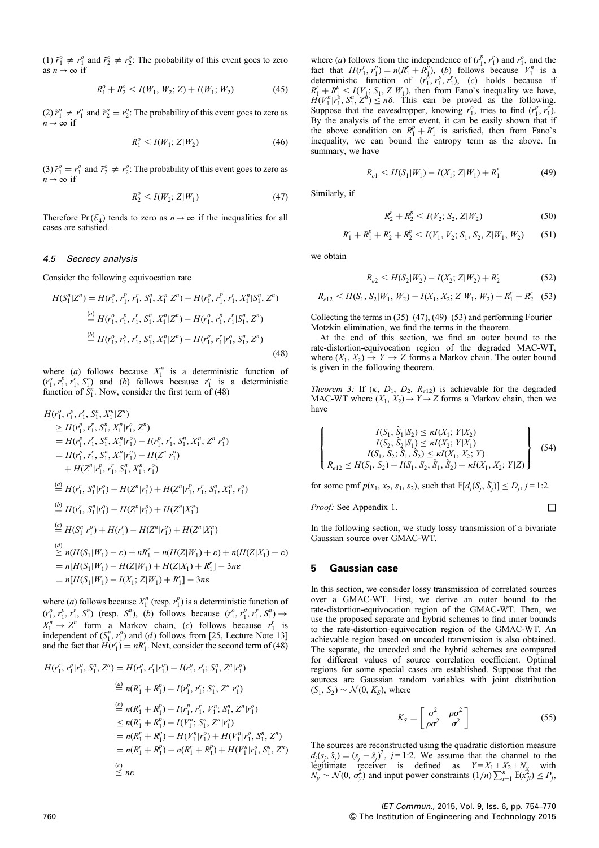(1)  $\tilde{r}_1^o \neq r_1^o$  and  $\tilde{r}_2^o \neq r_2^o$ . The probability of this event goes to zero as  $n \to \infty$  if

$$
R_1^o + R_2^o < I(W_1, W_2; Z) + I(W_1; W_2) \tag{45}
$$

(2)  $\tilde{r}_1^o \neq r_1^o$  and  $\tilde{r}_2^o = r_2^o$ . The probability of this event goes to zero as  $n \to \infty$  if

$$
R_1^o < I(W_1; Z | W_2) \tag{46}
$$

(3)  $\tilde{r}_1^o = r_1^o$  and  $\tilde{r}_2^o \neq r_2^o$ . The probability of this event goes to zero as  $n \to \infty$  if

$$
R_2^o < I(W_2; Z|W_1) \tag{47}
$$

Therefore Pr( $\mathcal{E}_4$ ) tends to zero as  $n \to \infty$  if the inequalities for all cases are satisfied.

#### 4.5 Secrecy analysis

Consider the following equivocation rate

$$
H(S_1^n|Z^n) = H(r_1^o, r_1^p, r_1^r, S_1^n, X_1^n|Z^n) - H(r_1^o, r_1^p, r_1^r, X_1^n|S_1^n, Z^n)
$$
  
\n
$$
\stackrel{(a)}{=} H(r_1^o, r_1^p, r_1^r, S_1^n, X_1^n|Z^n) - H(r_1^o, r_1^p, r_1^r|S_1^n, Z^n)
$$
  
\n
$$
\stackrel{(b)}{=} H(r_1^o, r_1^p, r_1^r, S_1^n, X_1^n|Z^n) - H(r_1^p, r_1^r|r_1^o, S_1^n, Z^n)
$$
  
\n(48)

where (*a*) follows because  $X_1^n$  is a deterministic function of  $(r_1^o, r_1^p, r_1^r, S_1^n)$  and (b) follows because  $r_1^o$  is a deterministic function of  $S_1^n$ . Now, consider the first term of (48)

$$
H(r_1^o, r_1^p, r_1^r, S_1^n, X_1^n | Z^n)
$$
  
\n
$$
\geq H(r_1^p, r_1^r, S_1^n, X_1^n | r_1^o, Z^n)
$$
  
\n
$$
= H(r_1^p, r_1^r, S_1^n, X_1^n | r_1^o) - I(r_1^p, r_1^r, S_1^n, X_1^n; Z^n | r_1^o)
$$
  
\n
$$
= H(r_1^p, r_1^r, S_1^n, X_1^n | r_1^o) - H(Z^n | r_1^o)
$$
  
\n
$$
+ H(Z^n | r_1^p, r_1^r, S_1^n, X_1^n, r_1^o)
$$
  
\n
$$
\stackrel{(a)}{=} H(r_1^r, S_1^n | r_1^o) - H(Z^n | r_1^o) + H(Z^n | r_1^p, r_1^r, S_1^n, X_1^n, r_1^o)
$$
  
\n
$$
\stackrel{(b)}{=} H(r_1^r, S_1^n | r_1^o) - H(Z^n | r_1^o) + H(Z^n | X_1^n)
$$
  
\n
$$
\stackrel{(c)}{=} H(S_1^n | r_1^o) + H(r_1^r) - H(Z^n | r_1^o) + H(Z^n | X_1^n)
$$
  
\n
$$
\stackrel{(d)}{=} n(H(S_1 | W_1) - \varepsilon) + nR_1^r - n(H(Z | W_1) + \varepsilon) + n(H(Z | X_1) - \varepsilon)
$$
  
\n
$$
= n[H(S_1 | W_1) - H(Z | W_1) + H(Z | X_1) + R_1^r] - 3n\varepsilon
$$
  
\n
$$
= n[H(S_1 | W_1) - I(X_1; Z | W_1) + R_1^r] - 3n\varepsilon
$$

where (*a*) follows because  $X_1^n$  (resp.  $r_1^p$ ) is a deterministic function of  $(r_1^o, r_1^p, r_1^r, S_1^n)$  (resp.  $S_1^n$ ), (b) follows because  $(r_1^o, r_1^p, r_1^r, S_1^n) \rightarrow$  $X_1^n \to Z^n$  form a Markov chain, (c) follows because  $r_1^r$  is independent of  $(S_1^n, r_1^o)$  and  $(d)$  follows from [25, Lecture Note 13] and the fact that  $H(r'_1) = nR'_1$ . Next, consider the second term of (48)

$$
H(r_1^r, r_1^p | r_1^o, S_1^n, Z^n) = H(r_1^p, r_1^r | r_1^o) - I(r_1^p, r_1^r; S_1^n, Z^n | r_1^o)
$$
  
\n
$$
\stackrel{(a)}{=} n(R_1^r + R_1^p) - I(r_1^p, r_1^r; S_1^n, Z^n | r_1^o)
$$
  
\n
$$
\stackrel{(b)}{=} n(R_1^r + R_1^p) - I(r_1^p, r_1^r, V_1^n; S_1^n, Z^n | r_1^o)
$$
  
\n
$$
\le n(R_1^r + R_1^o) - I(V_1^n; S_1^n, Z^n | r_1^o)
$$
  
\n
$$
= n(R_1^r + R_1^p) - H(V_1^n | r_1^o) + H(V_1^n | r_1^o, S_1^n, Z^n)
$$
  
\n
$$
= n(R_1^r + R_1^p) - n(R_1^r + R_1^p) + H(V_1^n | r_1^o, S_1^n, Z^n)
$$
  
\n
$$
\stackrel{(c)}{\leq} n\varepsilon
$$

where (a) follows from the independence of  $(r_1^p, r_1^r)$  and  $r_1^o$ , and the fact that  $H(r_1^r, r_1^p) = n(R_1^r + R_1^p)$ , (b) follows because  $V_1^n$  is a deterministic function of  $(r_1^b, r_1^p, r_1^r)$ , (c) holds because if  $R_1^r + R_1^p < I(V_1; S_1, Z|W_1)$ , then from Fano's inequality we have,<br> $H(V_1^n|r_1^o, S_1^n, Z^n) \le n\delta$ . This can be proved as the following. Suppose that the eavesdropper, knowing  $r_1^o$ , tries to find  $(r_1^p, r_1^r)$ . By the analysis of the error event, it can be easily shown that if the above condition on  $R_1^p + R_1^r$  is satisfied, then from Fano's inequality, we can bound the entropy term as the above. In summary, we have

$$
R_{e1} < H(S_1|W_1) - I(X_1; Z|W_1) + R_1' \tag{49}
$$

Similarly, if

$$
R_2^r + R_2^p < I(V_2; S_2, Z | W_2) \tag{50}
$$

$$
R_1^r + R_1^p + R_2^r + R_2^p < I(V_1, V_2; S_1, S_2, Z | W_1, W_2) \tag{51}
$$

we obtain

$$
R_{e2} < H(S_2|W_2) - I(X_2; Z|W_2) + R_2' \tag{52}
$$

$$
R_{e12} < H(S_1, S_2 | W_1, W_2) - I(X_1, X_2; Z | W_1, W_2) + R_1' + R_2' \tag{53}
$$

Collecting the terms in  $(35)$ – $(47)$ ,  $(49)$ – $(53)$  and performing Fourier– Motzkin elimination, we find the terms in the theorem.

At the end of this section, we find an outer bound to the rate-distortion-equivocation region of the degraded MAC-WT, where  $(X_1, X_2) \to Y \to Z$  forms a Markov chain. The outer bound is given in the following theorem.

Theorem 3: If  $(\kappa, D_1, D_2, R_{e12})$  is achievable for the degraded MAC-WT where  $(X_1, X_2) \rightarrow Y \rightarrow Z$  forms a Markov chain, then we have

$$
\begin{Bmatrix}\nI(S_1; \hat{S}_1 | S_2) \le \kappa I(X_1; Y | X_2) \\
I(S_2; \hat{S}_2 | S_1) \le \kappa I(X_2; Y | X_1) \\
I(S_1, S_2; \hat{S}_1, \hat{S}_2) \le \kappa I(X_1, X_2; Y) \\
R_{e12} \le H(S_1, S_2) - I(S_1, S_2; \hat{S}_1, \hat{S}_2) + \kappa I(X_1, X_2; Y | Z)\n\end{Bmatrix}
$$
\n(54)

for some pmf  $p(x_1, x_2, s_1, s_2)$ , such that  $\mathbb{E}[d_j(S_j, \hat{S}_j)] \le D_j$ ,  $j = 1:2$ .

*Proof:* See Appendix 1.  $\Box$ 

In the following section, we study lossy transmission of a bivariate Gaussian source over GMAC-WT.

#### 5 Gaussian case

In this section, we consider lossy transmission of correlated sources over a GMAC-WT. First, we derive an outer bound to the rate-distortion-equivocation region of the GMAC-WT. Then, we use the proposed separate and hybrid schemes to find inner bounds to the rate-distortion-equivocation region of the GMAC-WT. An achievable region based on uncoded transmission is also obtained. The separate, the uncoded and the hybrid schemes are compared for different values of source correlation coefficient. Optimal regions for some special cases are established. Suppose that the sources are Gaussian random variables with joint distribution  $(S_1, S_2) \sim \mathcal{N}(0, K_s)$ , where

$$
K_S = \begin{bmatrix} \sigma^2 & \rho \sigma^2 \\ \rho \sigma^2 & \sigma^2 \end{bmatrix}
$$
 (55)

The sources are reconstructed using the quadratic distortion measure  $d_j(s_j, \hat{s}_j) = (s_j - \hat{s}_j)^2$ , j = 1:2. We assume that the channel to the legitimate receiver is defined as  $Y = X_1 + X_2 + N_y$  with  $N_y \sim \mathcal{N}(0, \sigma_y^2)$  and input power constraints  $(1/n) \sum_{i=1}^n \mathbb{E}(x_{ji}^2) \le P_j$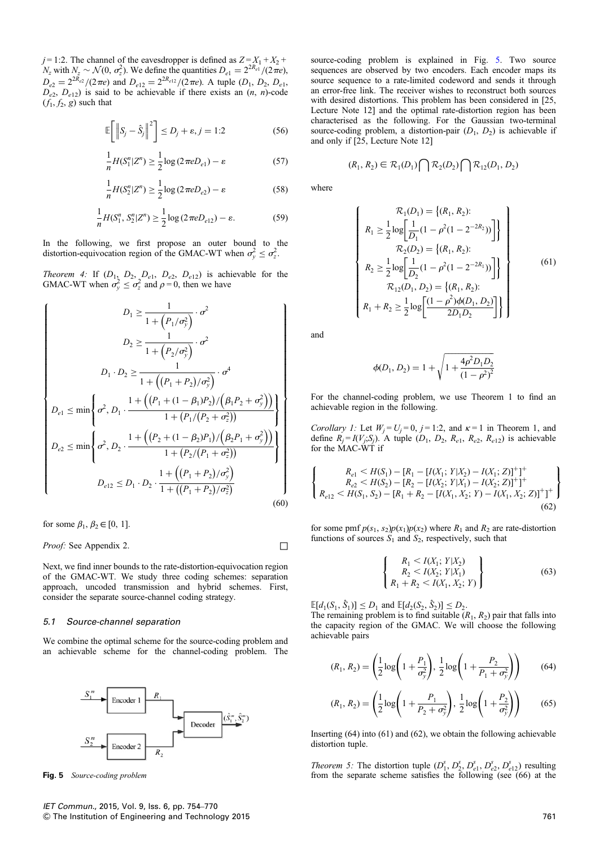$j = 1:2$ . The channel of the eavesdropper is defined as  $Z = X_1 + X_2 +$  $N_z$  with  $N_z \sim \mathcal{N}(0, \sigma_z^2)$ . We define the quantities  $D_{e1} = 2^{2R_{e1}}/(2\pi e)$ ,  $D_{e2} = 2^{2R_{e2}}/(2\pi e)$  and  $D_{e12} = 2^{2R_{e12}}/(2\pi e)$ . A tuple  $(D_1, D_2, D_{e1},$  $D_{e2}$ ,  $D_{e12}$ ) is said to be achievable if there exists an  $(n, n)$ -code  $(f_1, f_2, g)$  such that

$$
\mathbb{E}\bigg[\left\|S_j - \hat{S}_j\right\|^2\bigg] \le D_j + \varepsilon, j = 1:2
$$
 (56)

$$
\frac{1}{n}H(S_1^n|Z^n) \ge \frac{1}{2}\log(2\pi e D_{e1}) - \varepsilon
$$
\n(57)

$$
\frac{1}{n}H(S_2^n|Z^n) \ge \frac{1}{2}\log(2\pi e D_{e2}) - \varepsilon
$$
\n(58)

$$
\frac{1}{n}H(S_1^n, S_2^n | Z^n) \ge \frac{1}{2}\log(2\pi e D_{e12}) - \varepsilon.
$$
 (59)

In the following, we first propose an outer bound to the distortion-equivocation region of the GMAC-WT when  $\sigma_y^2 \leq \sigma_z^2$ .

Theorem 4: If  $(D_1, D_2, D_{e1}, D_{e2}, D_{e12})$  is achievable for the GMAC-WT when  $\sigma_y^2 \leq \sigma_z^2$  and  $\rho = 0$ , then we have

$$
D_1 \geq \frac{1}{1 + (P_1/\sigma_y^2)} \cdot \sigma^2
$$
  
\n
$$
D_2 \geq \frac{1}{1 + (P_2/\sigma_y^2)} \cdot \sigma^2
$$
  
\n
$$
D_1 \cdot D_2 \geq \frac{1}{1 + ((P_1 + P_2)/\sigma_y^2)} \cdot \sigma^4
$$
  
\n
$$
D_{e1} \leq \min \left\{ \sigma^2, D_1 \cdot \frac{1 + ((P_1 + (1 - \beta_1)P_2)/(\beta_1 P_2 + \sigma_y^2))}{1 + (P_1/(P_2 + \sigma_z^2))} \right\}
$$
  
\n
$$
D_{e2} \leq \min \left\{ \sigma^2, D_2 \cdot \frac{1 + ((P_2 + (1 - \beta_2)P_1)/(\beta_2 P_1 + \sigma_y^2))}{1 + (P_2/(P_1 + \sigma_z^2))} \right\}
$$
  
\n
$$
D_{e12} \leq D_1 \cdot D_2 \cdot \frac{1 + ((P_1 + P_2)/\sigma_y^2)}{1 + ((P_1 + P_2)/\sigma_z^2)}
$$
  
\n(60)

for some  $\beta_1, \beta_2 \in [0, 1]$ .

Proof: See Appendix 2. □

Next, we find inner bounds to the rate-distortion-equivocation region of the GMAC-WT. We study three coding schemes: separation approach, uncoded transmission and hybrid schemes. First, consider the separate source-channel coding strategy.

#### 5.1 Source-channel separation

We combine the optimal scheme for the source-coding problem and an achievable scheme for the channel-coding problem. The



source-coding problem is explained in Fig. 5. Two source sequences are observed by two encoders. Each encoder maps its source sequence to a rate-limited codeword and sends it through an error-free link. The receiver wishes to reconstruct both sources with desired distortions. This problem has been considered in [25, Lecture Note 12] and the optimal rate-distortion region has been characterised as the following. For the Gaussian two-terminal source-coding problem, a distortion-pair  $(D_1, D_2)$  is achievable if and only if [25, Lecture Note 12]

$$
(R_1, R_2) \in \mathcal{R}_1(D_1) \cap \mathcal{R}_2(D_2) \cap \mathcal{R}_{12}(D_1, D_2)
$$

where

$$
\begin{cases}\nR_1(D_1) = \{(R_1, R_2): \\
R_1 \ge \frac{1}{2} \log \left[ \frac{1}{D_1} (1 - \rho^2 (1 - 2^{-2R_2})) \right] \} \\
R_2 \ge \frac{1}{2} \log \left[ \frac{1}{D_2} (1 - \rho^2 (1 - 2^{-2R_1})) \right] \} \\
R_2 \ge \frac{1}{2} \log \left[ \frac{1}{D_2} (1 - \rho^2 (1 - 2^{-2R_1})) \right] \} \\
R_{11} + R_2 \ge \frac{1}{2} \log \left[ \frac{(1 - \rho^2) \phi(D_1, D_2)}{2D_1 D_2} \right] \end{cases}
$$
\n(61)

and

$$
\phi(D_1, D_2) = 1 + \sqrt{1 + \frac{4\rho^2 D_1 D_2}{(1 - \rho^2)^2}}
$$

For the channel-coding problem, we use Theorem 1 to find an achievable region in the following.

Corollary 1: Let  $W_j = U_j = 0$ ,  $j = 1:2$ , and  $\kappa = 1$  in Theorem 1, and define  $R_i = I(V_i; S_i)$ . A tuple  $(D_1, D_2, R_{e1}, R_{e2}, R_{e12})$  is achievable for the MAC-WT if

$$
\begin{cases}\nR_{e1} < H(S_1) - [R_1 - [I(X_1; Y | X_2) - I(X_1; Z)]^+]^+ \\
R_{e2} < H(S_2) - [R_2 - [I(X_2; Y | X_1) - I(X_2; Z)]^+]^+ \\
R_{e12} < H(S_1, S_2) - [R_1 + R_2 - [I(X_1, X_2; Y) - I(X_1, X_2; Z)]^+]^+\n\end{cases}
$$
\n
$$
(62)
$$

for some pmf  $p(s_1, s_2)p(x_1)p(x_2)$  where  $R_1$  and  $R_2$  are rate-distortion functions of sources  $S_1$  and  $S_2$ , respectively, such that

$$
\begin{cases}\nR_1 < I(X_1; Y | X_2) \\
R_2 < I(X_2; Y | X_1) \\
R_1 + R_2 < I(X_1, X_2; Y)\n\end{cases}
$$
\n
$$
(63)
$$

 $\mathbb{E}[d_1(S_1, \hat{S}_1)] \leq D_1$  and  $\mathbb{E}[d_2(S_2, \hat{S}_2)] \leq D_2$ .

The remaining problem is to find suitable  $(R_1, R_2)$  pair that falls into the capacity region of the GMAC. We will choose the following achievable pairs

$$
(R_1, R_2) = \left(\frac{1}{2}\log\left(1 + \frac{P_1}{\sigma_y^2}\right), \frac{1}{2}\log\left(1 + \frac{P_2}{P_1 + \sigma_y^2}\right)\right) \tag{64}
$$

$$
(R_1, R_2) = \left(\frac{1}{2}\log\left(1 + \frac{P_1}{P_2 + \sigma_y^2}\right), \frac{1}{2}\log\left(1 + \frac{P_2}{\sigma_y^2}\right)\right) \tag{65}
$$

Inserting (64) into (61) and (62), we obtain the following achievable distortion tuple.

*Theorem 5:* The distortion tuple  $(D_1^s, D_2^s, D_{e1}^s, D_{e2}^s, D_{e12}^s)$  resulting Fig. 5 Source-coding problem from the separate scheme satisfies the following (see (66) at the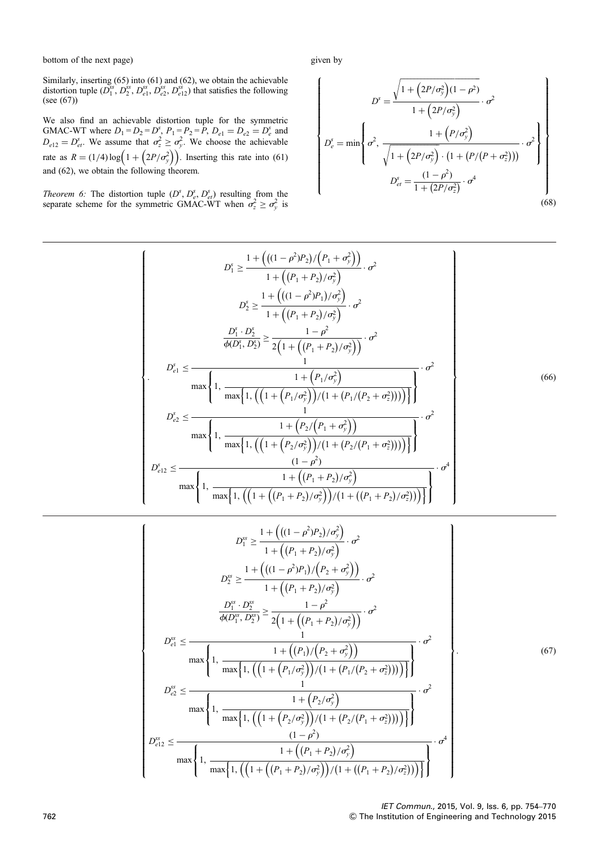bottom of the next page)

Similarly, inserting (65) into (61) and (62), we obtain the achievable distortion tuple  $(D_1^{ss}, D_2^{ss}, D_{e1}^{ss}, D_{e2}^{ss}, D_{e12}^{ss})$  that satisfies the following (see (67))

We also find an achievable distortion tuple for the symmetric GMAC-WT where  $D_1 = D_2 = D_2^s$ ,  $P_1 = P_2 = P_1$ ,  $D_{e1} = D_{e2} = D_e^s$  and  $D_{e12} = D_{e}^{s}$ . We assume that  $\sigma_z^2 \ge \sigma_y^2$ . We choose the achievable rate as  $R = (1/4) \log \left( 1 + \left( 2P/\sigma_y^2 \right) \right)$ . Inserting this rate into (61) and (62), we obtain the following theorem.

*Theorem 6:* The distortion tuple  $(D^s, D^s_e, D^s_{et})$  resulting from the separate scheme for the symmetric GMAC-WT when  $\sigma_z^2 \ge \sigma_y^2$  is

.

⎪⎪⎪⎪⎪⎪⎪⎪⎪⎪⎪⎪⎪⎪⎪⎪⎪⎪⎪⎪⎪⎪⎪⎪⎪⎪⎪⎪⎪⎪⎪⎪⎪⎪⎪⎪⎪⎪⎪⎪⎪⎪⎩

 $\mathbf{I}$ 

⎪⎪⎪⎪⎪⎪⎪⎪⎪⎪⎪⎪⎪⎪⎪⎪⎪⎪⎪⎪⎪⎪⎪⎪⎪⎪⎪⎪⎪⎪⎪⎪⎪⎪⎪⎪⎪⎪⎪⎪⎪⎪⎨

⎪⎪⎪⎪⎪⎪⎪⎪⎪⎪⎪⎪⎪⎪⎪⎪⎪⎪⎪⎪⎪⎪⎪⎪⎪⎪⎪⎪⎪⎪⎪⎪⎪⎪⎪⎪⎪⎪⎪⎪⎪⎪⎩

 $\mathbf{I}$ 

⎪⎪⎪⎪⎪⎪⎪⎪⎪⎪⎪⎪⎪⎪⎪⎪⎪⎪⎪⎪⎪⎪⎪⎪⎪⎪⎪⎪⎪⎪⎪⎪⎪⎪⎪⎪⎪⎪⎪⎪⎪⎪⎨

given by

$$
D^s = \frac{\sqrt{1 + (2P/\sigma_y^2)(1 - \rho^2)}}{1 + (2P/\sigma_y^2)} \cdot \sigma^2
$$
  

$$
D_e^s = \min \left\{ \sigma^2, \frac{1 + (P/\sigma_y^2)}{\sqrt{1 + (2P/\sigma_y^2)} \cdot (1 + (P/(P + \sigma_z^2))))} \cdot \sigma^2 \right\}
$$
  

$$
D_{eI}^s = \frac{(1 - \rho^2)}{1 + (2P/\sigma_z^2)} \cdot \sigma^4
$$
 (68)

$$
D_1^s \geq \frac{1 + ((1 - \rho^2)P_2)/(P_1 + \sigma_y^2))}{1 + ((P_1 + P_2)/\sigma_y^2)} \cdot \sigma^2
$$
  
\n
$$
D_2^s \geq \frac{1 + ((1 - \rho^2)P_1)/\sigma_y^2)}{1 + ((P_1 + P_2)/\sigma_y^2)} \cdot \sigma^2
$$
  
\n
$$
D_{e1}^s \leq \frac{D_1^s \cdot D_2^s}{\phi(D_1^s, D_2^s)} \geq \frac{1 - \rho^2}{2\left(1 + ((P_1 + P_2)/\sigma_y^2)\right)} \cdot \sigma^2
$$
  
\n
$$
D_{e1}^s \leq \frac{1}{\max\left\{1, \frac{1 + (P_1/\sigma_y^2)}{1 + (P_1/\sigma_y^2)/(1 + (P_1/(P_2 + \sigma_z^2))))\right\}}\right\}} \cdot \sigma^2
$$
  
\n
$$
D_{e2}^s \leq \frac{1}{\max\left\{1, \frac{1 + (P_2/(P_1 + \sigma_y^2))}{1 + (P_2/(P_1 + \sigma_y^2))/(1 + (P_2/(P_1 + \sigma_z^2))))\right\}}\right\}} \cdot \sigma^2
$$
  
\n
$$
D_{e12}^s \leq \frac{(1 - \rho^2)}{\max\left\{1, \frac{1 + ((P_1 + P_2)/\sigma_y^2)/(1 + (P_2 + (P_1 + P_2)/\sigma_z^2)))}{1 + ((P_1 + P_2)/\sigma_y^2)/(1 + ((P_1 + P_2)/\sigma_z^2))}\right\}} \cdot \sigma^4
$$

$$
D_1^{ss} \geq \frac{1 + ((1 - \rho^2)P_2)/\sigma_y^2)}{1 + ((P_1 + P_2)/\sigma_y^2)} \cdot \sigma^2
$$
  
\n
$$
D_2^{ss} \geq \frac{1 + ((1 - \rho^2)P_1)/(P_2 + \sigma_y^2))}{1 + ((P_1 + P_2)/\sigma_y^2)} \cdot \sigma^2
$$
  
\n
$$
\frac{D_1^{ss} \cdot D_2^{ss}}{\phi(D_1^{ss}, D_2^{ss})} \geq \frac{1 - \rho^2}{2\left(1 + ((P_1 + P_2)/\sigma_y^2)\right)} \cdot \sigma^2
$$
  
\n
$$
D_{e1}^{ss} \leq \frac{1}{\max\left\{1, \frac{1 + ((P_1)/(P_2 + \sigma_y^2))}{\max\left\{1, \frac{1 + ((P_1)/(P_2 + \sigma_y^2))}{1 + (P_2/\sigma_y^2)}\right\}\right\}} \cdot \sigma^2
$$
  
\n
$$
D_{e2}^{ss} \leq \frac{1}{\max\left\{1, \frac{1 + (P_2/\sigma_y^2)}{1 + (P_2/\sigma_y^2)}\right\}} \cdot \sigma^2
$$
  
\n
$$
D_{e12}^{ss} \leq \frac{1}{\max\left\{1, \frac{1 + ((P_1 + P_2)/\sigma_y^2)}{1 + ((P_1 + P_2)/\sigma_y^2)}\right\}} \cdot \sigma^2
$$
  
\n
$$
\max\left\{1, \frac{1 + ((P_1 + P_2)/\sigma_y^2)}{\max\left\{1, \frac{1 + ((P_1 + P_2)/\sigma_y^2)}{1 + ((P_1 + P_2)/\sigma_y^2)}\right\}}\right\}} \cdot \sigma^4
$$

. (67)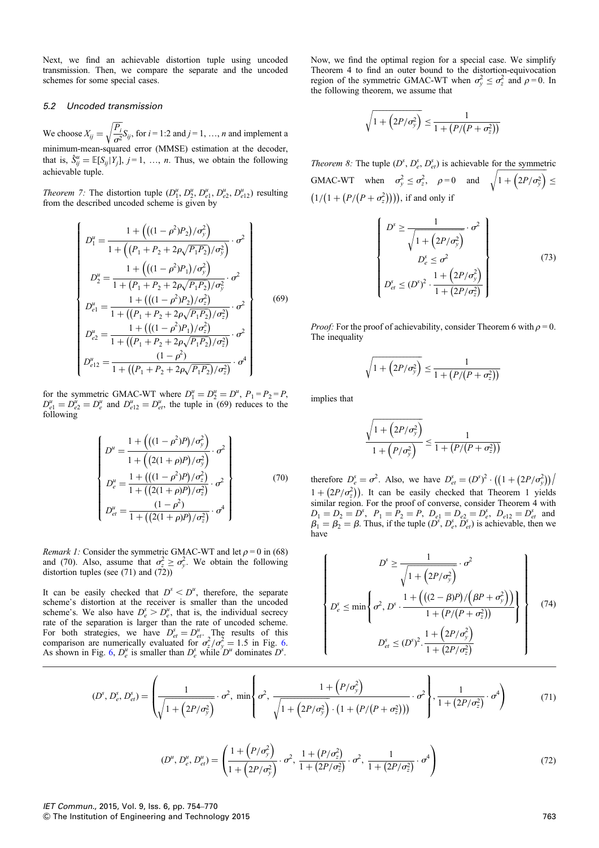Next, we find an achievable distortion tuple using uncoded transmission. Then, we compare the separate and the uncoded schemes for some special cases.

#### 5.2 Uncoded transmission

We choose  $X_{ij} = \sqrt{\frac{P_i}{\sigma^2}}$  $\sigma^2$  $\sqrt{\frac{P_i}{\sigma^2}}S_{ij}$ , for  $i = 1:2$  and  $j = 1, ..., n$  and implement a minimum-mean-squared error (MMSE) estimation at the decoder, that is,  $\hat{S}_{ij}^u = \mathbb{E}[S_{ij}|Y_j], j = 1, ..., n$ . Thus, we obtain the following achievable tuple.

*Theorem 7:* The distortion tuple  $(D_1^u, D_2^u, D_{e_1}^u, D_{e_2}^u, D_{e_1}^u)$  resulting from the described uncoded scheme is given by

$$
D_1^u = \frac{1 + ((((1 - \rho^2)P_2)/\sigma_y^2)}{1 + ((P_1 + P_2 + 2\rho\sqrt{P_1P_2})/\sigma_y^2)} \cdot \sigma^2
$$
  
\n
$$
D_2^u = \frac{1 + ((((1 - \rho^2)P_1)/\sigma_y^2)}{1 + (P_1 + P_2 + 2\rho\sqrt{P_1P_2})/\sigma_y^2} \cdot \sigma^2
$$
  
\n
$$
D_{e1}^u = \frac{1 + ((1 - \rho^2)P_2)/\sigma_z^2)}{1 + ((P_1 + P_2 + 2\rho\sqrt{P_1P_2})/\sigma_z^2)} \cdot \sigma^2
$$
  
\n
$$
D_{e2}^u = \frac{1 + ((1 - \rho^2)P_1)/\sigma_z^2)}{1 + ((P_1 + P_2 + 2\rho\sqrt{P_1P_2})/\sigma_z^2)} \cdot \sigma^2
$$
  
\n
$$
D_{e12}^u = \frac{(1 - \rho^2)}{1 + ((P_1 + P_2 + 2\rho\sqrt{P_1P_2})/\sigma_z^2)} \cdot \sigma^4
$$
 (69)

for the symmetric GMAC-WT where  $D_1^u = D_2^u = D^u$ ,  $P_1 = P_2 = P$ ,  $D_{e1}^{\mu} = D_{e2}^{\mu} = D_e^{\mu}$  and  $D_{e12}^{\mu} = D_{et}^{\mu}$ , the tuple in (69) reduces to the following

$$
\begin{cases}\nD^u = \frac{1 + \left( ((1 - \rho^2)P)/\sigma_y^2 \right)}{1 + \left( (2(1 + \rho)P)/\sigma_y^2 \right)} \cdot \sigma^2 \\
D_e^u = \frac{1 + \left( ((1 - \rho^2)P)/\sigma_z^2 \right)}{1 + \left( (2(1 + \rho)P)/\sigma_z^2 \right)} \cdot \sigma^2 \\
D_{e'}^u = \frac{(1 - \rho^2)}{1 + \left( (2(1 + \rho)P)/\sigma_z^2 \right)} \cdot \sigma^4\n\end{cases}
$$
\n(70)

*Remark 1:* Consider the symmetric GMAC-WT and let  $\rho = 0$  in (68) and (70). Also, assume that  $\sigma_z^2 \geq \sigma_y^2$ . We obtain the following distortion tuples (see (71) and (72))

It can be easily checked that  $D^{s} < D^{u}$ , therefore, the separate scheme's distortion at the receiver is smaller than the uncoded scheme's. We also have  $D_e^s > D_e^u$ , that is, the individual secrecy rate of the separation is larger than the rate of uncoded scheme. For both strategies, we have  $D_{et}^s = D_{et}^u$ . The results of this comparison are numerically evaluated for  $\sigma_z^2/\sigma_y^2 = 1.5$  in Fig. 6. As shown in Fig. 6,  $D_e^u$  is smaller than  $D_e^s$  while  $D^u$  dominates  $D^s$ .

Now, we find the optimal region for a special case. We simplify Theorem 4 to find an outer bound to the distortion-equivocation region of the symmetric GMAC-WT when  $\sigma_y^2 \le \sigma_z^2$  and  $\rho = 0$ . In the following theorem, we assume that

$$
\sqrt{1+\left(2P/\sigma_{y}^{2}\right)}\leq\frac{1}{1+\left(P/\left(P+\sigma_{z}^{2}\right)\right)}
$$

*Theorem 8:* The tuple  $(D^s, D^s_e, D^s_{et})$  is achievable for the symmetric GMAC-WT when  $\sigma_y^2 \le \sigma_z^2$ ,  $\rho = 0$  and  $\sqrt{1 + (2P/\sigma_y^2)} \le$  $(1/(1 + (P/(P + \sigma_z^2))))$ , if and only if

$$
\begin{cases}\nD^s \ge \frac{1}{\sqrt{1 + (2P/\sigma_y^2)}} \cdot \sigma^2 \\
D_e^s \le \sigma^2 \\
D_{et}^s \le (D^s)^2 \cdot \frac{1 + (2P/\sigma_y^2)}{1 + (2P/\sigma_z^2)}\n\end{cases}
$$
\n(73)

*Proof:* For the proof of achievability, consider Theorem 6 with  $\rho = 0$ . The inequality

$$
\sqrt{1+\left(2P/\sigma_{y}^{2}\right)}\leq\frac{1}{1+\left(P/\left(P+\sigma_{z}^{2}\right)\right)}
$$

implies that

$$
\frac{\sqrt{1+\left(2P/\sigma_y^2\right)}}{1+\left(P/\sigma_y^2\right)} \le \frac{1}{1+\left(P/\left(P+\sigma_z^2\right)\right)}
$$

therefore  $D_e^s = \sigma^2$ . Also, we have  $D_{et}^s = (D^s)^2 \cdot ((1 + (2P/\sigma_y^2)))$  $1 + (2P/\sigma_z^2)$ . It can be easily checked that Theorem 1 yields  $1 + (2F/\sigma_z)$ . It can be easily checked that Theorem 4 with similar region. For the proof of converse, consider Theorem 4 with  $D_1 = D_2 = D^s$ ,  $P_1 = P_2 = P$ ,  $D_{e1} = D_{e2} = D^s$ ,  $D_{e12} = D^s_{et}$  and  $\beta_1 = \beta_2 = \beta$ . Thus, if the tuple  $(D^s, D^s_e, D^s_{et})$  is achievable, then we have

$$
D^s \ge \frac{1}{\sqrt{1 + (2P/\sigma_y^2)}} \cdot \sigma^2
$$
  

$$
D_e^s \le \min \left\{ \sigma^2, D^s \cdot \frac{1 + ((2 - \beta)P)/(\beta P + \sigma_y^2))}{1 + (P/(P + \sigma_z^2))} \right\}
$$
  

$$
D_{et}^s \le (D^s)^2 \cdot \frac{1 + (2P/\sigma_y^2)}{1 + (2P/\sigma_z^2)}
$$
 (74)

$$
(D^s, D^s_e, D^s_{et}) = \left(\frac{1}{\sqrt{1 + (2P/\sigma_y^2)}} \cdot \sigma^2, \min\left\{\sigma^2, \frac{1 + (P/\sigma_y^2)}{\sqrt{1 + (2P/\sigma_y^2)} \cdot (1 + (P/(P + \sigma_z^2)))} \cdot \sigma^2\right\}, \frac{1}{1 + (2P/\sigma_z^2)} \cdot \sigma^4\right) \tag{71}
$$

$$
(D^u, D^u_e, D^u_{et}) = \left(\frac{1 + \left(P/\sigma_y^2\right)}{1 + \left(2P/\sigma_y^2\right)} \cdot \sigma^2, \frac{1 + \left(P/\sigma_z^2\right)}{1 + \left(2P/\sigma_z^2\right)} \cdot \sigma^2, \frac{1}{1 + \left(2P/\sigma_z^2\right)} \cdot \sigma^4\right)
$$
(72)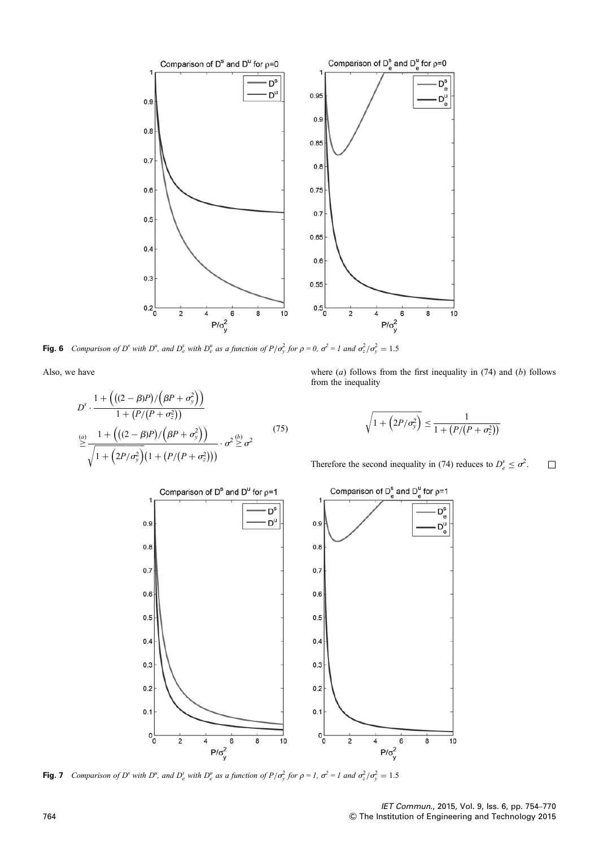

**Fig. 6** Comparison of D<sup>s</sup> with D<sup>u</sup>, and D<sub>e</sub> with D<sub>u</sub><sup>u</sup> as a function of P/ $\sigma_y^2$  for  $\rho = 0$ ,  $\sigma^2 = 1$  and  $\sigma_z^2/\sigma_y^2 = 1.5$ 

Also, we have

$$
D^{s} \cdot \frac{1 + ((2 - \beta)P)/(\beta P + \sigma_{y}^{2}))}{1 + (P/(P + \sigma_{z}^{2}))}
$$
  
\n
$$
\stackrel{(a)}{\geq} \frac{1 + ((2 - \beta)P)/(\beta P + \sigma_{y}^{2}))}{\sqrt{1 + (2P/\sigma_{y}^{2})}(1 + (P/(P + \sigma_{z}^{2})))} \cdot \sigma^{2} \stackrel{(b)}{\geq} \sigma^{2}
$$
\n(75)

where  $(a)$  follows from the first inequality in  $(74)$  and  $(b)$  follows from the inequality

$$
\sqrt{1+\left(2P/\sigma_y^2\right)}\leq \frac{1}{1+\left(P/\left(P+\sigma_z^2\right)\right)}
$$

Therefore the second inequality in (74) reduces to  $D_e^s \le \sigma^2$  $\Box$ 



**Fig. 7** Comparison of  $D^s$  with  $D^u$ , and  $D^s_e$  with  $D^u_e$  as a function of  $P/\sigma_y^2$  for  $\rho = 1$ ,  $\sigma^2 = 1$  and  $\sigma_z^2/\sigma_y^2 = 1.5$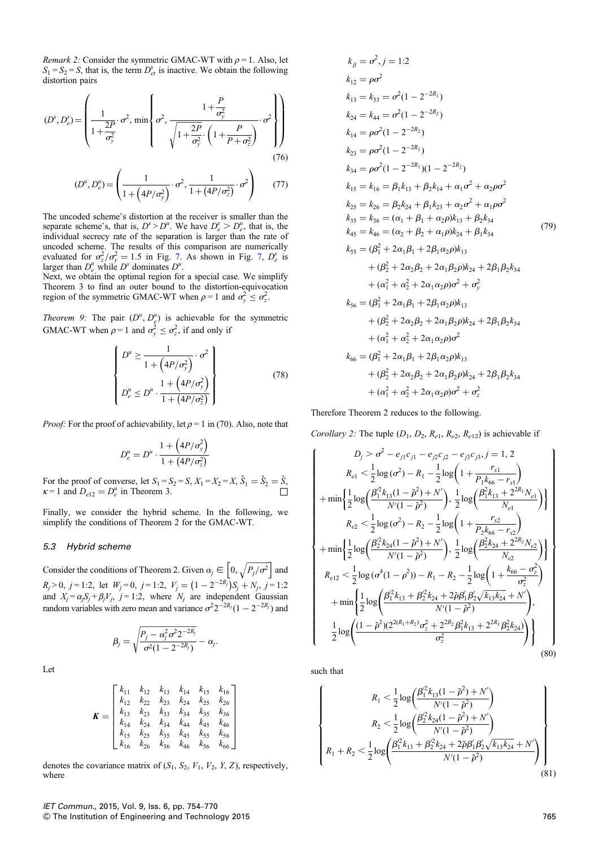*Remark 2:* Consider the symmetric GMAC-WT with  $\rho = 1$ . Also, let  $S_1 = S_2 = S$ , that is, the term  $D_{et}^s$  is inactive. We obtain the following distortion pairs

$$
(D^s, D_e^s) = \left(\frac{1}{1 + \frac{2P}{\sigma_y^2}} \cdot \sigma^2, \min\left\{\sigma^2, \frac{1 + \frac{P}{\sigma_y^2}}{\sqrt{1 + \frac{2P}{\sigma_y^2}} \cdot \left(1 + \frac{P}{P + \sigma_z^2}\right)} \cdot \sigma^2\right\}\right)
$$
  

$$
(D^u, D_e^u) = \left(\frac{1}{1 + \left(4P/\sigma_y^2\right)} \cdot \sigma^2, \frac{1}{1 + \left(4P/\sigma_z^2\right)} \cdot \sigma^2\right) \tag{77}
$$

The uncoded scheme's distortion at the receiver is smaller than the separate scheme's, that is,  $D^s > D^u$ . We have  $D_e^s > D_e^u$ , that is, the individual secrecy rate of the separation is larger than the rate of uncoded scheme. The results of this comparison are numerically evaluated for  $\sigma_z^2 / \sigma_y^2 = 1.5$  in Fig. 7. As shown in Fig. 7,  $D_e^s$  is larger than  $D_e^u$  while  $D^s$  dominates  $D^u$ .

Next, we obtain the optimal region for a special case. We simplify Theorem 3 to find an outer bound to the distortion-equivocation region of the symmetric GMAC-WT when  $\rho = 1$  and  $\sigma_y^2 \le \sigma_z^2$ .

Theorem 9: The pair  $(D^u, D_e^u)$  is achievable for the symmetric GMAC-WT when  $\rho = 1$  and  $\sigma_y^2 \le \sigma_z^2$ , if and only if

$$
\begin{cases}\nD^u \ge \frac{1}{1 + \left(4P/\sigma_y^2\right)} \cdot \sigma^2 \\
D_e^u \le D^u \cdot \frac{1 + \left(4P/\sigma_y^2\right)}{1 + \left(4P/\sigma_z^2\right)}\n\end{cases} (78)
$$

*Proof:* For the proof of achievability, let  $\rho = 1$  in (70). Also, note that

$$
D_{e}^{u} = D^{u} \cdot \frac{1 + (4P/\sigma_{y}^{2})}{1 + (4P/\sigma_{z}^{2})}
$$

For the proof of converse, let  $S_1 = S_2 = S$ ,  $X_1 = X_2 = X$ ,  $\hat{S}_1 = \hat{S}_2 = \hat{S}$ ,  $\kappa = 1$  and  $D_{e12} = D_e^u$  in Theorem 3.

Finally, we consider the hybrid scheme. In the following, we simplify the conditions of Theorem 2 for the GMAC-WT.

# 5.3 Hybrid scheme

Consider the conditions of Theorem 2. Given  $\alpha_j \in \left[0, \sqrt{P_j/\sigma^2}\right]$  and  $R_j > 0$ , j = 1:2, let  $W_j = 0$ , j = 1:2,  $V_j = (1 - 2^{-2R_j})S_j + N_j$ , j = 1:2 and  $X_j = \alpha_j S_j + \beta_j V_j$ ,  $j = 1:2$ , where  $N_j$  are independent Gaussian random variables with zero mean and variance  $\sigma^2 2^{-2R_j}(1 - 2^{-2R_j})$  and

$$
\beta_j = \sqrt{\frac{P_j - \alpha_j^2 \sigma^2 2^{-2R_j}}{\sigma^2 (1 - 2^{-2R_j})}} - \alpha_j.
$$

Let

$$
\boldsymbol{K} = \begin{bmatrix} k_{11} & k_{12} & k_{13} & k_{14} & k_{15} & k_{16} \\ k_{12} & k_{22} & k_{23} & k_{24} & k_{25} & k_{26} \\ k_{13} & k_{23} & k_{33} & k_{34} & k_{35} & k_{36} \\ k_{14} & k_{24} & k_{34} & k_{44} & k_{45} & k_{46} \\ k_{15} & k_{25} & k_{35} & k_{45} & k_{55} & k_{56} \\ k_{16} & k_{26} & k_{36} & k_{46} & k_{56} & k_{66} \end{bmatrix}
$$

denotes the covariance matrix of  $(S_1, S_2, V_1, V_2, Y, Z)$ , respectively, where

$$
k_{jj} = \sigma^2, j = 1:2
$$
  
\n
$$
k_{12} = \rho \sigma^2
$$
  
\n
$$
k_{13} = k_{33} = \sigma^2 (1 - 2^{-2R_1})
$$
  
\n
$$
k_{24} = k_{44} = \sigma^2 (1 - 2^{-2R_2})
$$
  
\n
$$
k_{14} = \rho \sigma^2 (1 - 2^{-2R_2})
$$
  
\n
$$
k_{23} = \rho \sigma^2 (1 - 2^{-2R_1})
$$
  
\n
$$
k_{34} = \rho \sigma^2 (1 - 2^{-2R_1}) (1 - 2^{-2R_2})
$$
  
\n
$$
k_{15} = k_{16} = \beta_1 k_{13} + \beta_2 k_{14} + \alpha_1 \sigma^2 + \alpha_2 \rho \sigma^2
$$
  
\n
$$
k_{25} = k_{26} = \beta_2 k_{24} + \beta_1 k_{23} + \alpha_2 \sigma^2 + \alpha_1 \rho \sigma^2
$$
  
\n
$$
k_{35} = k_{36} = (\alpha_1 + \beta_1 + \alpha_2 \rho) k_{13} + \beta_2 k_{34}
$$
  
\n
$$
k_{45} = k_{46} = (\alpha_2 + \beta_2 + \alpha_1 \rho) k_{24} + \beta_1 k_{34}
$$
  
\n
$$
k_{55} = (\beta_1^2 + 2\alpha_1 \beta_1 + 2\beta_1 \alpha_2 \rho) k_{13}
$$
  
\n
$$
+ (\beta_2^2 + 2\alpha_2 \beta_2 + 2\alpha_1 \beta_2 \rho) k_{24} + 2\beta_1 \beta_2 k_{34}
$$
  
\n
$$
+ (\alpha_1^2 + \alpha_2^2 + 2\alpha_1 \alpha_2 \rho) \sigma^2 + \sigma^2_y
$$
  
\n
$$
k_{56} = (\beta_1^2 + 2\alpha_1 \beta_1 + 2\beta_1 \alpha_2 \rho) k_{13}
$$
  
\n
$$
+ (\beta_2^2 + 2\alpha_2 \beta_2 + 2\alpha_1 \beta_2 \rho) k_{24} + 2\beta_1 \beta_2 k_{34}
$$
  
\

Therefore Theorem 2 reduces to the following.

Corollary 2: The tuple  $(D_1, D_2, R_{e1}, R_{e2}, R_{e12})$  is achievable if

$$
\begin{cases}\nD_j > \sigma^2 - e_{j1}c_{j1} - e_{j2}c_{j2} - e_{j3}c_{j3}, j = 1, 2 \\
R_{e1} < \frac{1}{2}\log(\sigma^2) - R_1 - \frac{1}{2}\log\left(1 + \frac{r_{x1}}{P_1k_{66} - r_{x1}}\right) \\
+ \min\left\{\frac{1}{2}\log\left(\frac{\beta_1^2k_{13}(1 - \tilde{\rho}^2) + N'}{N'(1 - \tilde{\rho}^2)}\right), \frac{1}{2}\log\left(\frac{\beta_1^2k_{13} + 2^{2R_1}N_{e1}}{N_{e1}}\right)\right\} \\
R_{e2} < \frac{1}{2}\log(\sigma^2) - R_2 - \frac{1}{2}\log\left(1 + \frac{r_{x2}}{P_2k_{66} - r_{x2}}\right) \\
+ \min\left\{\frac{1}{2}\log\left(\frac{\beta_2^2k_{24}(1 - \tilde{\rho}^2) + N'}{N'(1 - \tilde{\rho}^2)}\right), \frac{1}{2}\log\left(\frac{\beta_2^2k_{24} + 2^{2R_2}N_{e2}}{N_{e2}}\right)\right\} \\
R_{e12} < \frac{1}{2}\log(\sigma^4(1 - \rho^2)) - R_1 - R_2 - \frac{1}{2}\log\left(1 + \frac{k_{66} - \sigma_2^2}{\sigma_2^2}\right) \\
+ \min\left\{\frac{1}{2}\log\left(\frac{\beta_1^2k_{13} + \beta_2^2k_{24} + 2\tilde{\rho}\beta_1\beta_2\sqrt{k_{13}k_{24}} + N'}{N'(1 - \tilde{\rho}^2)}\right), \frac{1}{2}\log\left(\frac{(1 - \tilde{\rho}^2)(2^{2(R_1 + R_2)}\sigma_2^2 + 2^{2R_2}\beta_1^2k_{13} + 2^{2R_1}\beta_2^2k_{24})}{\sigma_2^2}\right)\right\}\n\end{cases} (80)
$$

such that

$$
\left\{\n\begin{array}{c}\nR_1 < \frac{1}{2}\log\left(\frac{\beta_1^2 k_{13} (1-\tilde{\rho}^2) + N'}{N'(1-\tilde{\rho}^2)}\right) \\
R_2 < \frac{1}{2}\log\left(\frac{\beta_2^2 k_{24} (1-\tilde{\rho}^2) + N'}{N'(1-\tilde{\rho}^2)}\right) \\
R_1 + R_2 < \frac{1}{2}\log\left(\frac{\beta_1^2 k_{13} + \beta_2^2 k_{24} + 2\tilde{\rho}\beta_1'\beta_2'\sqrt{k_{13}k_{24}} + N'}{N'(1-\tilde{\rho}^2)}\right)\n\end{array}\n\right\}\n\tag{81}
$$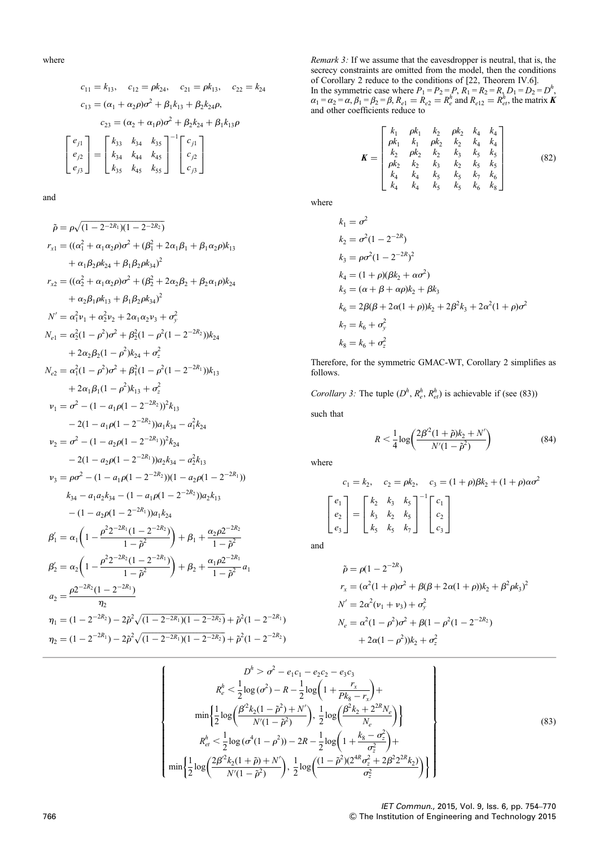where

$$
c_{11} = k_{13}, \quad c_{12} = \rho k_{24}, \quad c_{21} = \rho k_{13}, \quad c_{22} = k_{24}
$$
\n
$$
c_{13} = (\alpha_1 + \alpha_2 \rho)\sigma^2 + \beta_1 k_{13} + \beta_2 k_{24} \rho,
$$
\n
$$
c_{23} = (\alpha_2 + \alpha_1 \rho)\sigma^2 + \beta_2 k_{24} + \beta_1 k_{13} \rho
$$
\n
$$
\begin{bmatrix} e_{j1} \\ e_{j2} \\ e_{j3} \end{bmatrix} = \begin{bmatrix} k_{33} & k_{34} & k_{35} \\ k_{34} & k_{44} & k_{45} \\ k_{35} & k_{45} & k_{55} \end{bmatrix}^{-1} \begin{bmatrix} c_{j1} \\ c_{j2} \\ c_{j3} \end{bmatrix}
$$

and

$$
\tilde{\rho} = \rho \sqrt{(1 - 2^{-2R_1})(1 - 2^{-2R_2})}
$$
\n
$$
r_{x1} = ((\alpha_1^2 + \alpha_1 \alpha_2 \rho)\sigma^2 + (\beta_1^2 + 2\alpha_1 \beta_1 + \beta_1 \alpha_2 \rho)k_{13} + \alpha_1 \beta_2 \rho k_{24} + \beta_1 \beta_2 \rho k_{34})^2
$$
\n
$$
r_{x2} = ((\alpha_2^2 + \alpha_1 \alpha_2 \rho)\sigma^2 + (\beta_2^2 + 2\alpha_2 \beta_2 + \beta_2 \alpha_1 \rho)k_{24} + \alpha_2 \beta_1 \rho k_{13} + \beta_1 \beta_2 \rho k_{34})^2
$$
\n
$$
N' = \alpha_1^2 \nu_1 + \alpha_2^2 \nu_2 + 2\alpha_1 \alpha_2 \nu_3 + \sigma_y^2
$$
\n
$$
N_e = \alpha_2^2 (1 - \rho^2)\sigma^2 + \beta_2^2 (1 - \rho^2(1 - 2^{-2R_2}))k_{24} + 2\alpha_2 \beta_2 (1 - \rho^2)k_{24} + \sigma_z^2
$$
\n
$$
N_{e2} = \alpha_1^2 (1 - \rho^2)\sigma^2 + \beta_1^2 (1 - \rho^2(1 - 2^{-2R_1}))k_{13} + 2\alpha_1 \beta_1 (1 - \rho^2)k_{13} + \sigma_z^2
$$
\n
$$
\nu_1 = \sigma^2 - (1 - a_1 \rho(1 - 2^{-2R_2}))^2 k_{13}
$$
\n
$$
- 2(1 - a_1 \rho(1 - 2^{-2R_2}))^2 k_{24}
$$
\n
$$
- 2(1 - a_1 \rho(1 - 2^{-2R_1}))^2 k_{24}
$$
\n
$$
- 2(1 - a_2 \rho(1 - 2^{-2R_1}))^2 k_{24}
$$
\n
$$
- 2(1 - a_2 \rho(1 - 2^{-2R_1}))^2 k_{24}
$$
\n
$$
- 2(1 - a_1 \rho(1 - 2^{-2R_2}))((1 - a_2 \rho(1 - 2^{-2R_1}))
$$
\n
$$
k_{34} - a_1 a_2 k_{34} - (
$$

Remark 3: If we assume that the eavesdropper is neutral, that is, the secrecy constraints are omitted from the model, then the conditions of Corollary 2 reduce to the conditions of [22, Theorem IV.6].<br>In the symmetric case where  $P_1 = P_2 = P$ ,  $R_1 = R_2 = R$ ,  $D_1 = D_2 = D^h$ ,  $\alpha_1 = \alpha_2 = \alpha$ ,  $\beta_1 = \beta_2 = \beta$ ,  $R_{e1} = R_{e2} = R_e^h$  and  $R_{e12} = R_{et}^h$ , the matrix **K** and other coefficients reduce to

$$
\boldsymbol{K} = \begin{bmatrix} k_1 & \rho k_1 & k_2 & \rho k_2 & k_4 & k_4 \\ \rho k_1 & k_1 & \rho k_2 & k_2 & k_4 & k_4 \\ k_2 & \rho k_2 & k_2 & k_3 & k_5 & k_5 \\ \rho k_2 & k_2 & k_3 & k_2 & k_5 & k_5 \\ k_4 & k_4 & k_5 & k_5 & k_6 & k_8 \end{bmatrix}
$$
 (82)

where

$$
k_1 = \sigma^2
$$
  
\n
$$
k_2 = \sigma^2 (1 - 2^{-2R})
$$
  
\n
$$
k_3 = \rho \sigma^2 (1 - 2^{-2R})^2
$$
  
\n
$$
k_4 = (1 + \rho)(\beta k_2 + \alpha \sigma^2)
$$
  
\n
$$
k_5 = (\alpha + \beta + \alpha \rho)k_2 + \beta k_3
$$
  
\n
$$
k_6 = 2\beta(\beta + 2\alpha(1 + \rho))k_2 + 2\beta^2 k_3 + 2\alpha^2(1 + \rho)\sigma^2
$$
  
\n
$$
k_7 = k_6 + \sigma_y^2
$$
  
\n
$$
k_8 = k_6 + \sigma_z^2
$$

Therefore, for the symmetric GMAC-WT, Corollary 2 simplifies as follows.

Corollary 3: The tuple  $(D^h, R_e^h, R_{et}^h)$  is achievable if (see (83))

such that

$$
R < \frac{1}{4} \log \left( \frac{2\beta^2 (1+\tilde{\rho}) k_2 + N'}{N' (1-\tilde{\rho}^2)} \right) \tag{84}
$$

where

$$
c_1 = k_2, \quad c_2 = \rho k_2, \quad c_3 = (1 + \rho)\beta k_2 + (1 + \rho)\alpha\sigma^2
$$

$$
\begin{bmatrix} e_1 \\ e_2 \\ e_3 \end{bmatrix} = \begin{bmatrix} k_2 & k_3 & k_5 \\ k_3 & k_2 & k_5 \\ k_5 & k_5 & k_7 \end{bmatrix}^{-1} \begin{bmatrix} c_1 \\ c_2 \\ c_3 \end{bmatrix}
$$

and

$$
\tilde{\rho} = \rho(1 - 2^{-2R})
$$
\n
$$
r_x = (\alpha^2(1 + \rho)\sigma^2 + \beta(\beta + 2\alpha(1 + \rho))k_2 + \beta^2\rho k_3)^2
$$
\n
$$
N' = 2\alpha^2(\nu_1 + \nu_3) + \sigma_y^2
$$
\n
$$
N_e = \alpha^2(1 - \rho^2)\sigma^2 + \beta(1 - \rho^2(1 - 2^{-2R_2}))
$$
\n
$$
+ 2\alpha(1 - \rho^2))k_2 + \sigma_z^2
$$

$$
D^{h} > \sigma^{2} - e_{1}c_{1} - e_{2}c_{2} - e_{3}c_{3}
$$
\n
$$
R_{e}^{h} < \frac{1}{2}\log(\sigma^{2}) - R - \frac{1}{2}\log(1 + \frac{r_{x}}{Pk_{8} - r_{x}}) + \min\left\{\frac{1}{2}\log\left(\frac{\beta^{2}k_{2}(1 - \tilde{\rho}^{2}) + N'}{N'(1 - \tilde{\rho}^{2})}\right), \frac{1}{2}\log\left(\frac{\beta^{2}k_{2} + 2^{2R}N_{e}}{N_{e}}\right)\right\}
$$
\n
$$
R_{e\ell}^{h} < \frac{1}{2}\log(\sigma^{4}(1 - \rho^{2})) - 2R - \frac{1}{2}\log\left(1 + \frac{k_{8} - \sigma_{z}^{2}}{\sigma_{z}^{2}}\right) + \min\left\{\frac{1}{2}\log\left(\frac{2\beta^{2}k_{2}(1 + \tilde{\rho}) + N'}{N'(1 - \tilde{\rho}^{2})}\right), \frac{1}{2}\log\left(\frac{(1 - \tilde{\rho}^{2})(2^{4R}\sigma_{z}^{2} + 2\beta^{2}2^{2R}k_{2})}{\sigma_{z}^{2}}\right)\right\}
$$
\n
$$
(83)
$$

#### IET Commun., 2015, Vol. 9, Iss. 6, pp. 754–770 766 & The Institution of Engineering and Technology 2015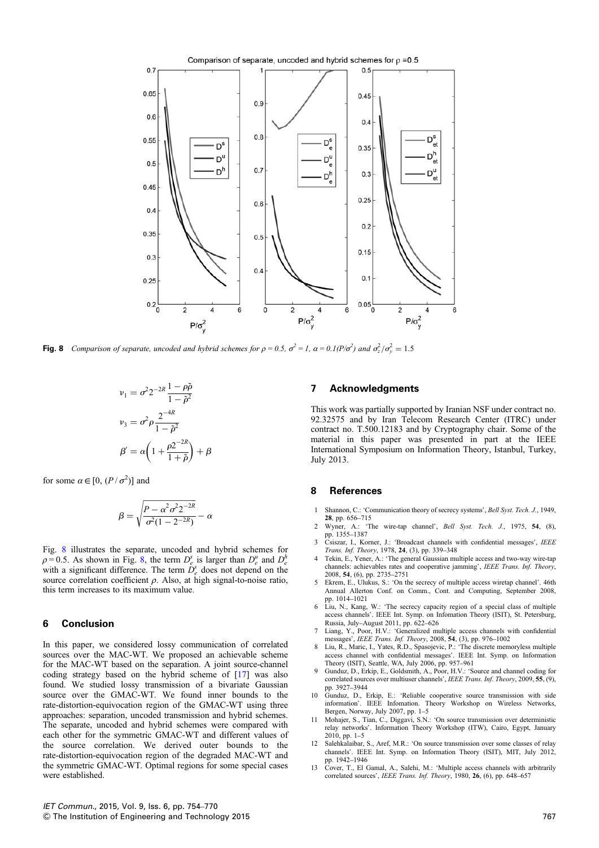

**Fig. 8** Comparison of separate, uncoded and hybrid schemes for  $\rho = 0.5$ ,  $\sigma^2 = 1$ ,  $\alpha = 0.1(P/\sigma^2)$  and  $\sigma_z^2/\sigma_y^2 = 1.5$ 

$$
\nu_1 = \sigma^2 2^{-2R} \frac{1 - \rho \tilde{\rho}}{1 - \tilde{\rho}^2}
$$

$$
\nu_3 = \sigma^2 \rho \frac{2^{-4R}}{1 - \tilde{\rho}^2}
$$

$$
\beta' = \alpha \left( 1 + \frac{\rho 2^{-2R}}{1 + \tilde{\rho}} \right) + \beta
$$

for some  $\alpha \in [0, (P/\sigma^2)]$  and

$$
\beta = \sqrt{\frac{P - \alpha^2 \sigma^2 2^{-2R}}{\sigma^2 (1 - 2^{-2R})}} - \alpha
$$

Fig. 8 illustrates the separate, uncoded and hybrid schemes for  $\rho = 0.5$ . As shown in Fig. 8, the term  $D_e^s$  is larger than  $D_e^u$  and  $D_e^h$  with a significant difference. The term  $D_e^s$  does not depend on the source correlation coefficient  $\rho$ . Also, at high signal-to-noise ratio, this term increases to its maximum value.

#### 6 Conclusion

In this paper, we considered lossy communication of correlated sources over the MAC-WT. We proposed an achievable scheme for the MAC-WT based on the separation. A joint source-channel coding strategy based on the hybrid scheme of [17] was also found. We studied lossy transmission of a bivariate Gaussian source over the GMAC-WT. We found inner bounds to the rate-distortion-equivocation region of the GMAC-WT using three approaches: separation, uncoded transmission and hybrid schemes. The separate, uncoded and hybrid schemes were compared with each other for the symmetric GMAC-WT and different values of the source correlation. We derived outer bounds to the rate-distortion-equivocation region of the degraded MAC-WT and the symmetric GMAC-WT. Optimal regions for some special cases were established.

7 Acknowledgments

This work was partially supported by Iranian NSF under contract no. 92.32575 and by Iran Telecom Research Center (ITRC) under contract no. T.500.12183 and by Cryptography chair. Some of the material in this paper was presented in part at the IEEE International Symposium on Information Theory, Istanbul, Turkey, July 2013.

# 8 References

- 1 Shannon, C.: 'Communication theory of secrecy systems', Bell Syst. Tech. J., 1949, 28, pp. 656–715
- 2 Wyner, A.: 'The wire-tap channel', *Bell Syst. Tech. J.*, 1975, 54, (8), pp. 1355–1387
- 3 Csiszar, I., Korner, J.: 'Broadcast channels with confidential messages', IEEE Trans. Inf. Theory, 1978, 24, (3), pp. 339–348
- 4 Tekin, E., Yener, A.: 'The general Gaussian multiple access and two-way wire-tap channels: achievables rates and cooperative jamming', IEEE Trans. Inf. Theory, 2008, 54, (6), pp. 2735–2751
- Ekrem, E., Ulukus, S.: 'On the secrecy of multiple access wiretap channel'. 46th Annual Allerton Conf. on Comm., Cont. and Computing, September 2008, pp. 1014–1021
- 6 Liu, N., Kang, W.: 'The secrecy capacity region of a special class of multiple access channels'. IEEE Int. Symp. on Infomation Theory (ISIT), St. Petersburg, Russia, July–August 2011, pp. 622–626
- 7 Liang, Y., Poor, H.V.: 'Generalized multiple access channels with confidential messages', IEEE Trans. Inf. Theory, 2008, 54, (3), pp. 976–1002
- Liu, R., Maric, I., Yates, R.D., Spasojevic, P.: 'The discrete memoryless multiple access channel with confidential messages'. IEEE Int. Symp. on Information Theory (ISIT), Seattle, WA, July 2006, pp. 957–961
- 9 Gunduz, D., Erkip, E., Goldsmith, A., Poor, H.V.: 'Source and channel coding for correlated sources over multiuser channels', IEEE Trans. Inf. Theory, 2009, 55, (9), pp. 3927–3944
- 10 Gunduz, D., Erkip, E.: 'Reliable cooperative source transmission with side information'. IEEE Infomation. Theory Workshop on Wireless Networks, Bergen, Norway, July 2007, pp. 1–5
- 11 Mohajer, S., Tian, C., Diggavi, S.N.: 'On source transmission over deterministic relay networks'. Information Theory Workshop (ITW), Cairo, Egypt, January 2010, pp. 1–5
- 12 Salehkalaibar, S., Aref, M.R.: 'On source transmission over some classes of relay channels'. IEEE Int. Symp. on Information Theory (ISIT), MIT, July 2012, pp. 1942–1946
- 13 Cover, T., El Gamal, A., Salehi, M.: 'Multiple access channels with arbitrarily correlated sources', IEEE Trans. Inf. Theory, 1980, 26, (6), pp. 648–657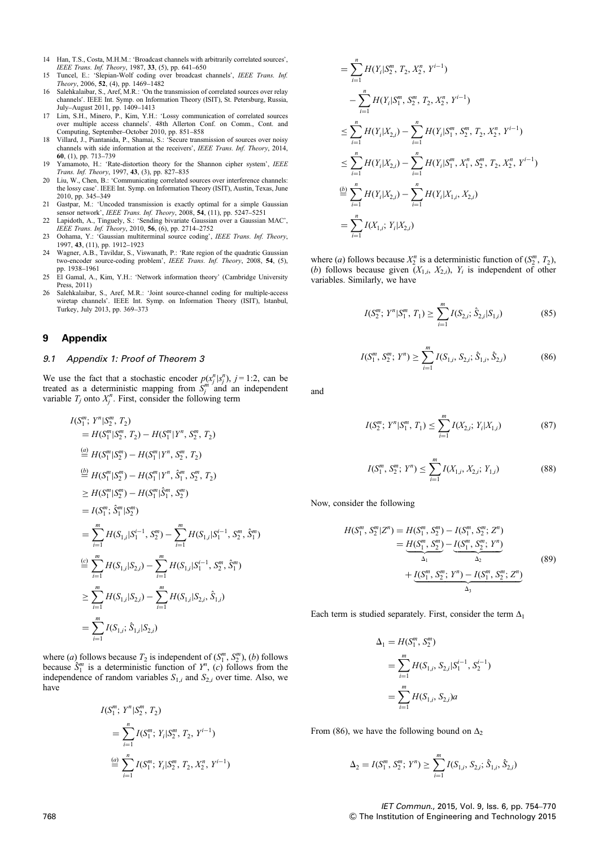- 14 Han, T.S., Costa, M.H.M.: 'Broadcast channels with arbitrarily correlated sources', IEEE Trans. Inf. Theory, 1987, 33, (5), pp. 641–650
- 15 Tuncel, E.: 'Slepian-Wolf coding over broadcast channels', IEEE Trans. Inf. Theory, 2006, 52, (4), pp. 1469–1482
- 16 Salehkalaibar, S., Aref, M.R.: 'On the transmission of correlated sources over relay channels'. IEEE Int. Symp. on Information Theory (ISIT), St. Petersburg, Russia, July–August 2011, pp. 1409–1413
- 17 Lim, S.H., Minero, P., Kim, Y.H.: 'Lossy communication of correlated sources over multiple access channels'. 48th Allerton Conf. on Comm., Cont. and Computing, September–October 2010, pp. 851–858
- 18 Villard, J., Piantanida, P., Shamai, S.: 'Secure transmission of sources over noisy channels with side information at the receivers', IEEE Trans. Inf. Theory, 2014, 60, (1), pp. 713–739
- 19 Yamamoto, H.: 'Rate-distortion theory for the Shannon cipher system', IEEE Trans. Inf. Theory, 1997, 43, (3), pp. 827–835
- 20 Liu, W., Chen, B.: 'Communicating correlated sources over interference channels: the lossy case'. IEEE Int. Symp. on Information Theory (ISIT), Austin, Texas, June 2010, pp. 345–349
- 21 Gastpar, M.: 'Uncoded transmission is exactly optimal for a simple Gaussian sensor network', IEEE Trans. Inf. Theory, 2008, 54, (11), pp. 5247-5251
- 22 Lapidoth, A., Tinguely, S.: 'Sending bivariate Gaussian over a Gaussian MAC', IEEE Trans. Inf. Theory, 2010, 56, (6), pp. 2714–2752
- 23 Oohama, Y.: 'Gaussian multiterminal source coding', IEEE Trans. Inf. Theory, 1997, 43, (11), pp. 1912–1923
- 24 Wagner, A.B., Tavildar, S., Viswanath, P.: 'Rate region of the quadratic Gaussian two-encoder source-coding problem', IEEE Trans. Inf. Theory, 2008, 54, (5), pp. 1938–1961
- 25 El Gamal, A., Kim, Y.H.: 'Network information theory' (Cambridge University Press, 2011)
- 26 Salehkalaibar, S., Aref, M.R.: 'Joint source-channel coding for multiple-access wiretap channels'. IEEE Int. Symp. on Information Theory (ISIT), Istanbul, Turkey, July 2013, pp. 369–373

# 9 Appendix

#### 9.1 Appendix 1: Proof of Theorem 3

We use the fact that a stochastic encoder  $p(x_j^n | s_j^n)$ , j = 1:2, can be treated as a deterministic mapping from  $S_j^m$  and an independent variable  $T_j$  onto  $X_j^n$ . First, consider the following term

$$
I(S_1^m; Y^n | S_2^m, T_2)
$$
  
=  $H(S_1^m | S_2^m, T_2) - H(S_1^m | Y^n, S_2^m, T_2)$   

$$
\stackrel{(a)}{=} H(S_1^m | S_2^m) - H(S_1^m | Y^n, S_2^m, T_2)
$$
  

$$
\stackrel{(b)}{=} H(S_1^m | S_2^m) - H(S_1^m | Y^n, \hat{S}_1^m, S_2^m, T_2)
$$
  

$$
\ge H(S_1^m | S_2^m) - H(S_1^m | \hat{S}_1^m, S_2^m)
$$
  
=  $I(S_1^m; \hat{S}_1^m | S_2^m)$   
=  $\sum_{i=1}^m H(S_{1,i} | S_1^{i-1}, S_2^m) - \sum_{i=1}^m H(S_{1,i} | S_1^{i-1}, S_2^m, \hat{S}_1^m)$   

$$
\stackrel{(c)}{=} \sum_{i=1}^m H(S_{1,i} | S_{2,i}) - \sum_{i=1}^m H(S_{1,i} | S_{2,i}, \hat{S}_{1,i})
$$
  

$$
\ge \sum_{i=1}^m H(S_{1,i} | S_{2,i}) - \sum_{i=1}^m H(S_{1,i} | S_{2,i}, \hat{S}_{1,i})
$$
  
= 
$$
\sum_{i=1}^m I(S_{1,i}; \hat{S}_{1,i} | S_{2,i})
$$

where (*a*) follows because  $T_2$  is independent of  $(S_1^m, S_2^m)$ , (*b*) follows because  $\hat{S}_1^m$  is a deterministic function of  $Y^n$ ,  $(c)$  follows from the independence of random variables  $S_{1,i}$  and  $S_{2,i}$  over time. Also, we have

$$
I(S_1^m; Y^n | S_2^m, T_2)
$$
  
= 
$$
\sum_{i=1}^n I(S_1^m; Y_i | S_2^m, T_2, Y^{i-1})
$$
  

$$
\stackrel{(a)}{=} \sum_{i=1}^n I(S_1^m; Y_i | S_2^m, T_2, X_2^n, Y^{i-1})
$$

$$
= \sum_{i=1}^{n} H(Y_i|S_2^m, T_2, X_2^n, Y^{i-1})
$$
  
\n
$$
- \sum_{i=1}^{n} H(Y_i|S_1^m, S_2^m, T_2, X_2^n, Y^{i-1})
$$
  
\n
$$
\leq \sum_{i=1}^{n} H(Y_i|X_{2,i}) - \sum_{i=1}^{n} H(Y_i|S_1^m, S_2^m, T_2, X_2^n, Y^{i-1})
$$
  
\n
$$
\leq \sum_{i=1}^{n} H(Y_i|X_{2,i}) - \sum_{i=1}^{n} H(Y_i|S_1^m, X_1^n, S_2^m, T_2, X_2^n, Y^{i-1})
$$
  
\n
$$
\stackrel{\text{(b)}{=} \sum_{i=1}^{n} H(Y_i|X_{2,i}) - \sum_{i=1}^{n} H(Y_i|X_{1,i}, X_{2,i})
$$
  
\n
$$
= \sum_{i=1}^{n} I(X_{1,i}; Y_i|X_{2,i})
$$

where (a) follows because  $X_2^n$  is a deterministic function of  $(S_2^m, T_2)$ , (b) follows because given  $(X_{1,i}, X_{2,i})$ ,  $Y_i$  is independent of other variables. Similarly, we have

$$
I(S_2^m; Y^n | S_1^m, T_1) \ge \sum_{i=1}^m I(S_{2,i}; \hat{S}_{2,i} | S_{1,i})
$$
\n(85)

$$
I(S_1^m, S_2^m; Y^n) \ge \sum_{i=1}^m I(S_{1,i}, S_{2,i}; \hat{S}_{1,i}, \hat{S}_{2,i})
$$
 (86)

and

$$
I(S_2^m; Y^n | S_1^m, T_1) \le \sum_{i=1}^m I(X_{2,i}; Y_i | X_{1,i})
$$
\n(87)

$$
I(S_1^m, S_2^m; Y^n) \le \sum_{i=1}^m I(X_{1,i}, X_{2,i}; Y_{1,i})
$$
\n(88)

Now, consider the following

$$
H(S_1^m, S_2^m | Z^n) = H(S_1^m, S_2^m) - I(S_1^m, S_2^m; Z^n)
$$
  
= 
$$
\underbrace{H(S_1^m, S_2^m)}_{\Delta_1} - \underbrace{I(S_1^m, S_2^m; Y^n)}_{\Delta_2}
$$
  
+ 
$$
\underbrace{I(S_1^m, S_2^m; Y^n) - I(S_1^m, S_2^m; Z^n)}_{\Delta_3}
$$
 (89)

Each term is studied separately. First, consider the term  $\Delta_1$ 

$$
\Delta_1 = H(S_1^m, S_2^m)
$$
  
= 
$$
\sum_{i=1}^m H(S_{1,i}, S_{2,i} | S_1^{i-1}, S_2^{i-1})
$$
  
= 
$$
\sum_{i=1}^m H(S_{1,i}, S_{2,i})a
$$

From (86), we have the following bound on  $\Delta_2$ 

$$
\Delta_2 = I(S_1^m, S_2^m; Y^n) \ge \sum_{i=1}^m I(S_{1,i}, S_{2,i}; \hat{S}_{1,i}, \hat{S}_{2,i})
$$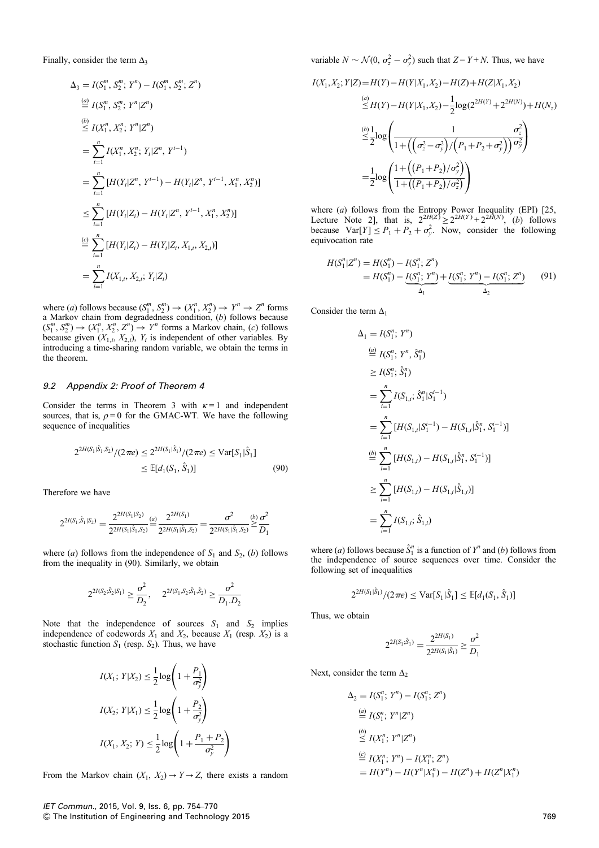Finally, consider the term  $\Delta_3$ 

$$
\Delta_{3} = I(S_{1}^{m}, S_{2}^{m}; Y^{n}) - I(S_{1}^{m}, S_{2}^{m}; Z^{n})
$$
\n
$$
\stackrel{(a)}{=} I(S_{1}^{m}, S_{2}^{m}; Y^{n} | Z^{n})
$$
\n
$$
\stackrel{(b)}{\leq} I(X_{1}^{n}, X_{2}^{n}; Y^{n} | Z^{n})
$$
\n
$$
= \sum_{i=1}^{n} I(X_{1}^{n}, X_{2}^{n}; Y_{i} | Z^{n}, Y^{i-1})
$$
\n
$$
= \sum_{i=1}^{n} [H(Y_{i} | Z^{n}, Y^{i-1}) - H(Y_{i} | Z^{n}, Y^{i-1}, X_{1}^{n}, X_{2}^{n})]
$$
\n
$$
\leq \sum_{i=1}^{n} [H(Y_{i} | Z_{i}) - H(Y_{i} | Z^{n}, Y^{i-1}, X_{1}^{n}, X_{2}^{n})]
$$
\n
$$
\stackrel{(c)}{=} \sum_{i=1}^{n} [H(Y_{i} | Z_{i}) - H(Y_{i} | Z_{i}, X_{1,i}, X_{2,i})]
$$
\n
$$
= \sum_{i=1}^{n} I(X_{1,i}, X_{2,i}; Y_{i} | Z_{i})
$$

where (a) follows because  $(S_1^m, S_2^m) \to (X_1^n, X_2^n) \to Y^n \to Z^n$  forms a Markov chain from degradedness condition,  $(b)$  follows because  $(S_1^m, S_2^m) \rightarrow (X_1^n, X_2^n, Z^n) \rightarrow Y^n$  forms a Markov chain, (c) follows because given  $(X_{1,i}, X_{2,i})$ ,  $Y_i$  is independent of other variables. By introducing a time-sharing random variable, we obtain the terms in the theorem.

#### 9.2 Appendix 2: Proof of Theorem 4

Consider the terms in Theorem 3 with  $\kappa = 1$  and independent sources, that is,  $\rho = 0$  for the GMAC-WT. We have the following sequence of inequalities

$$
2^{2H(S_1|\hat{S}_1, S_2)}/(2\pi e) \le 2^{2H(S_1|\hat{S}_1)}/(2\pi e) \le \text{Var}[S_1|\hat{S}_1]
$$
  
\$\le \mathbb{E}[d\_1(S\_1, \hat{S}\_1)] \tag{90}

Therefore we have

$$
2^{2I(S_1;\hat{S}_1|S_2)} = \frac{2^{2H(S_1|S_2)}}{2^{2H(S_1|\hat{S}_1,S_2)}} \stackrel{(a)}{=} \frac{2^{2H(S_1)}}{2^{2H(S_1|\hat{S}_1,S_2)}} = \frac{\sigma^2}{2^{2H(S_1|\hat{S}_1,S_2)}} \stackrel{(b)}{=} \frac{\sigma^2}{D_1}
$$

where (a) follows from the independence of  $S_1$  and  $S_2$ , (b) follows from the inequality in (90). Similarly, we obtain

$$
2^{2I(S_2;\hat{S}_2|S_1)} \geq \frac{\sigma^2}{D_2}, \quad 2^{2I(S_1,S_2;\hat{S}_1,\hat{S}_2)} \geq \frac{\sigma^2}{D_1.D_2}
$$

Note that the independence of sources  $S_1$  and  $S_2$  implies independence of codewords  $X_1$  and  $X_2$ , because  $X_1$  (resp.  $X_2$ ) is a stochastic function  $S_1$  (resp.  $S_2$ ). Thus, we have

$$
I(X_1; Y|X_2) \le \frac{1}{2} \log \left( 1 + \frac{P_1}{\sigma_y^2} \right)
$$
  

$$
I(X_2; Y|X_1) \le \frac{1}{2} \log \left( 1 + \frac{P_2}{\sigma_y^2} \right)
$$
  

$$
I(X_1, X_2; Y) \le \frac{1}{2} \log \left( 1 + \frac{P_1 + P_2}{\sigma_y^2} \right)
$$

From the Markov chain  $(X_1, X_2) \rightarrow Y \rightarrow Z$ , there exists a random

variable 
$$
N \sim \mathcal{N}(0, \sigma_z^2 - \sigma_y^2)
$$
 such that  $Z = Y + N$ . Thus, we have  
\n
$$
I(X_1, X_2; Y|Z) = H(Y) - H(Y|X_1, X_2) - H(Z) + H(Z|X_1, X_2)
$$
\n
$$
\stackrel{(a)}{\leq} H(Y) - H(Y|X_1, X_2) - \frac{1}{2} \log(2^{2H(Y)} + 2^{2H(N)}) + H(N_z)
$$
\n
$$
\stackrel{(b)}{\leq} \frac{1}{2} \log \left( \frac{1}{1 + \left( \left( \sigma_z^2 - \sigma_y^2 \right) / \left( P_1 + P_2 + \sigma_y^2 \right) \right) \sigma_y^2} \right)
$$
\n
$$
= \frac{1}{2} \log \left( \frac{1 + \left( \left( P_1 + P_2 \right) / \sigma_y^2 \right)}{1 + \left( \left( P_1 + P_2 \right) / \sigma_z^2 \right)} \right)
$$

where (*a*) follows from the Entropy Power Inequality (EPI) [25, Lecture Note 2], that is,  $2^{2H(Z)} \ge 2^{2H(Y)} + 2^{2H(N)}$ , (*b*) follows because  $Var[Y] \le P_1 + P_2 + \sigma_y^2$ . Now, consider the following equivocation rate

$$
H(S_1^n|Z^n) = H(S_1^n) - I(S_1^n; Z^n)
$$
  
=  $H(S_1^n) - I(S_1^n; Y^n) + I(S_1^n; Y^n) - I(S_1^n; Z^n)$  (91)

Consider the term  $\Delta_1$ 

$$
\Delta_{1} = I(S_{1}^{n}; Y^{n})
$$
\n
$$
\stackrel{(a)}{=} I(S_{1}^{n}; Y^{n}, \hat{S}_{1}^{n})
$$
\n
$$
\geq I(S_{1}^{n}; \hat{S}_{1}^{n})
$$
\n
$$
= \sum_{i=1}^{n} I(S_{1,i}; \hat{S}_{1}^{n} | S_{1}^{i-1})
$$
\n
$$
= \sum_{i=1}^{n} [H(S_{1,i}|S_{1}^{i-1}) - H(S_{1,i}| \hat{S}_{1}^{n}, S_{1}^{i-1})]
$$
\n
$$
\stackrel{(b)}{=} \sum_{i=1}^{n} [H(S_{1,i}) - H(S_{1,i}| \hat{S}_{1}^{n}, S_{1}^{i-1})]
$$
\n
$$
\geq \sum_{i=1}^{n} [H(S_{1,i}) - H(S_{1,i}| \hat{S}_{1,i})]
$$
\n
$$
= \sum_{i=1}^{n} I(S_{1,i}; \hat{S}_{1,i})
$$

where (*a*) follows because  $\hat{S}_1^n$  is a function of  $Y^n$  and (*b*) follows from the independence of source sequences over time. Consider the following set of inequalities

$$
2^{2H(S_1|\hat{S}_1)}/(2\pi e) \leq \text{Var}[S_1|\hat{S}_1] \leq \mathbb{E}[d_1(S_1, \hat{S}_1)]
$$

Thus, we obtain

$$
2^{2I(S_1;\hat{S}_1)} = \frac{2^{2H(S_1)}}{2^{2H(S_1|\hat{S}_1)}} \ge \frac{\sigma^2}{D_1}
$$

Next, consider the term  $\Delta_2$ 

$$
\Delta_2 = I(S_1^n; Y^n) - I(S_1^n; Z^n)
$$
  
\n
$$
\stackrel{(a)}{=} I(S_1^n; Y^n | Z^n)
$$
  
\n
$$
\stackrel{(b)}{\leq} I(X_1^n; Y^n | Z^n)
$$
  
\n
$$
\stackrel{(c)}{=} I(X_1^n; Y^n) - I(X_1^n; Z^n)
$$
  
\n
$$
= H(Y^n) - H(Y^n | X_1^n) - H(Z^n) + H(Z^n | X_1^n)
$$